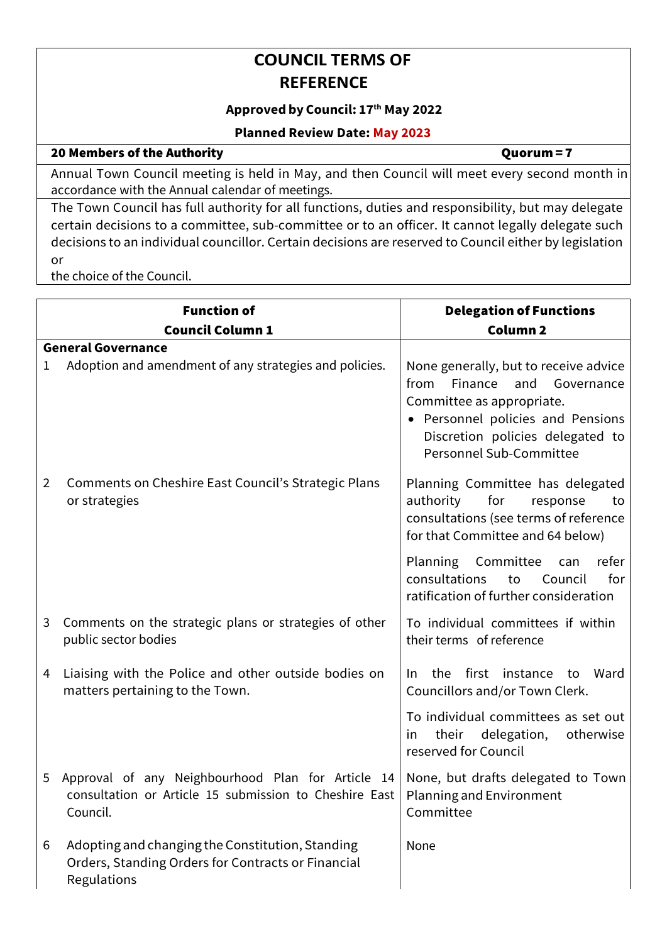## **COUNCIL TERMS OF REFERENCE**

### **Approved by Council: 17th May 2022**

#### **Planned Review Date: May 2023**

#### 20 Members of the Authority **Department of the Authority** and the *Quorum = 7*

Annual Town Council meeting is held in May, and then Council will meet every second month in accordance with the Annual calendar of meetings.

The Town Council has full authority for all functions, duties and responsibility, but may delegate certain decisions to a committee, sub-committee or to an officer. It cannot legally delegate such decisions to an individual councillor. Certain decisions are reserved to Council either by legislation or

the choice of the Council.

|                | <b>Function of</b>                                                                                                                                                                      | <b>Delegation of Functions</b>                                                                                                                                                                              |
|----------------|-----------------------------------------------------------------------------------------------------------------------------------------------------------------------------------------|-------------------------------------------------------------------------------------------------------------------------------------------------------------------------------------------------------------|
|                | <b>Council Column 1</b>                                                                                                                                                                 | <b>Column 2</b>                                                                                                                                                                                             |
|                | <b>General Governance</b>                                                                                                                                                               |                                                                                                                                                                                                             |
| 1              | Adoption and amendment of any strategies and policies.                                                                                                                                  | None generally, but to receive advice<br>Finance<br>from<br>and Governance<br>Committee as appropriate.<br>• Personnel policies and Pensions<br>Discretion policies delegated to<br>Personnel Sub-Committee |
| $\overline{2}$ | Comments on Cheshire East Council's Strategic Plans<br>or strategies                                                                                                                    | Planning Committee has delegated<br>authority<br>for<br>response<br>to<br>consultations (see terms of reference<br>for that Committee and 64 below)                                                         |
|                |                                                                                                                                                                                         | Planning Committee<br>refer<br>can<br>consultations<br>for<br>Council<br>to<br>ratification of further consideration                                                                                        |
| 3              | Comments on the strategic plans or strategies of other<br>public sector bodies                                                                                                          | To individual committees if within<br>their terms of reference                                                                                                                                              |
| 4              | Liaising with the Police and other outside bodies on<br>matters pertaining to the Town.                                                                                                 | the first instance<br>Ward<br>In.<br>to<br>Councillors and/or Town Clerk.                                                                                                                                   |
|                |                                                                                                                                                                                         | To individual committees as set out<br>their delegation,<br>otherwise<br><i>in</i><br>reserved for Council                                                                                                  |
| 5              | Approval of any Neighbourhood Plan for Article 14   None, but drafts delegated to Town<br>consultation or Article 15 submission to Cheshire East   Planning and Environment<br>Council. | Committee                                                                                                                                                                                                   |
| 6              | Adopting and changing the Constitution, Standing<br>Orders, Standing Orders for Contracts or Financial<br>Regulations                                                                   | None                                                                                                                                                                                                        |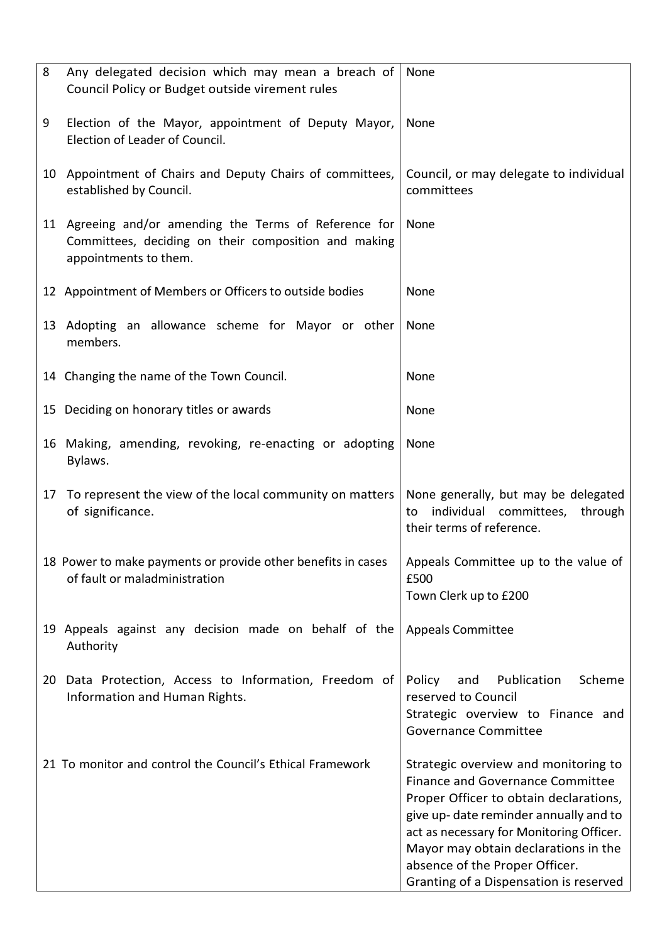| 8  | Any delegated decision which may mean a breach of<br>Council Policy or Budget outside virement rules                                         | None                                                                                                                                                                                                                                                                                                                        |
|----|----------------------------------------------------------------------------------------------------------------------------------------------|-----------------------------------------------------------------------------------------------------------------------------------------------------------------------------------------------------------------------------------------------------------------------------------------------------------------------------|
| 9  | Election of the Mayor, appointment of Deputy Mayor,<br>Election of Leader of Council.                                                        | None                                                                                                                                                                                                                                                                                                                        |
|    | 10 Appointment of Chairs and Deputy Chairs of committees,<br>established by Council.                                                         | Council, or may delegate to individual<br>committees                                                                                                                                                                                                                                                                        |
|    | 11 Agreeing and/or amending the Terms of Reference for None<br>Committees, deciding on their composition and making<br>appointments to them. |                                                                                                                                                                                                                                                                                                                             |
|    | 12 Appointment of Members or Officers to outside bodies                                                                                      | None                                                                                                                                                                                                                                                                                                                        |
|    | 13 Adopting an allowance scheme for Mayor or other<br>members.                                                                               | None                                                                                                                                                                                                                                                                                                                        |
|    | 14 Changing the name of the Town Council.                                                                                                    | None                                                                                                                                                                                                                                                                                                                        |
|    | 15 Deciding on honorary titles or awards                                                                                                     | None                                                                                                                                                                                                                                                                                                                        |
|    | 16 Making, amending, revoking, re-enacting or adopting<br>Bylaws.                                                                            | None                                                                                                                                                                                                                                                                                                                        |
|    | 17 To represent the view of the local community on matters<br>of significance.                                                               | None generally, but may be delegated<br>individual committees,<br>through<br>to<br>their terms of reference.                                                                                                                                                                                                                |
|    | 18 Power to make payments or provide other benefits in cases<br>of fault or maladministration                                                | Appeals Committee up to the value of<br>£500<br>Town Clerk up to £200                                                                                                                                                                                                                                                       |
|    | 19 Appeals against any decision made on behalf of the<br>Authority                                                                           | <b>Appeals Committee</b>                                                                                                                                                                                                                                                                                                    |
| 20 | Data Protection, Access to Information, Freedom of<br>Information and Human Rights.                                                          | Publication<br>Scheme<br>Policy<br>and<br>reserved to Council<br>Strategic overview to Finance and<br><b>Governance Committee</b>                                                                                                                                                                                           |
|    | 21 To monitor and control the Council's Ethical Framework                                                                                    | Strategic overview and monitoring to<br>Finance and Governance Committee<br>Proper Officer to obtain declarations,<br>give up-date reminder annually and to<br>act as necessary for Monitoring Officer.<br>Mayor may obtain declarations in the<br>absence of the Proper Officer.<br>Granting of a Dispensation is reserved |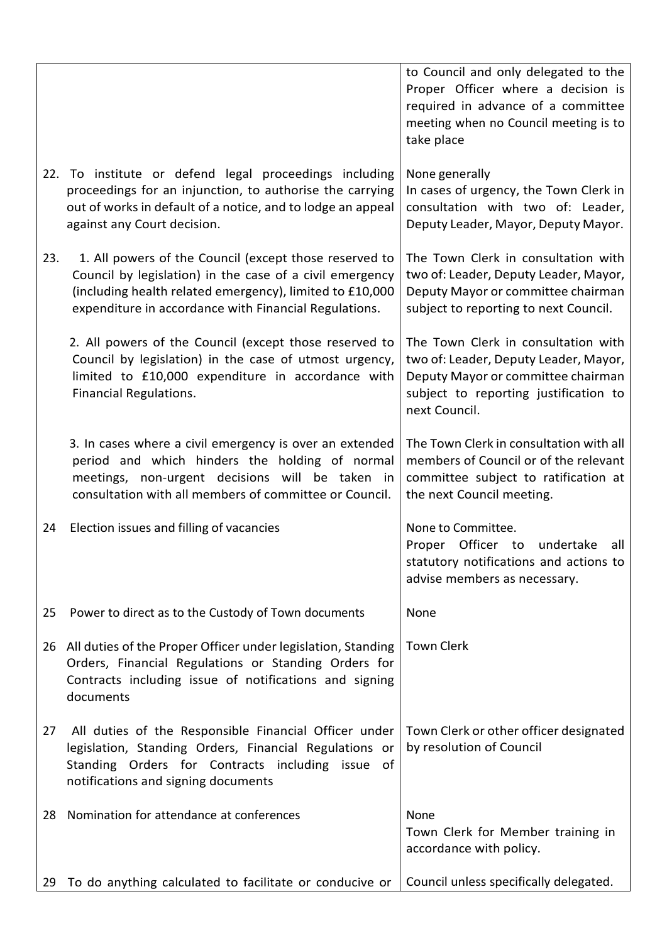|     |                                                                                                                                                                                                                                         | to Council and only delegated to the<br>Proper Officer where a decision is<br>required in advance of a committee<br>meeting when no Council meeting is to<br>take place      |
|-----|-----------------------------------------------------------------------------------------------------------------------------------------------------------------------------------------------------------------------------------------|------------------------------------------------------------------------------------------------------------------------------------------------------------------------------|
|     | 22. To institute or defend legal proceedings including<br>proceedings for an injunction, to authorise the carrying<br>out of works in default of a notice, and to lodge an appeal<br>against any Court decision.                        | None generally<br>In cases of urgency, the Town Clerk in<br>consultation with two of: Leader,<br>Deputy Leader, Mayor, Deputy Mayor.                                         |
| 23. | 1. All powers of the Council (except those reserved to<br>Council by legislation) in the case of a civil emergency<br>(including health related emergency), limited to £10,000<br>expenditure in accordance with Financial Regulations. | The Town Clerk in consultation with<br>two of: Leader, Deputy Leader, Mayor,<br>Deputy Mayor or committee chairman<br>subject to reporting to next Council.                  |
|     | 2. All powers of the Council (except those reserved to<br>Council by legislation) in the case of utmost urgency,<br>limited to £10,000 expenditure in accordance with<br><b>Financial Regulations.</b>                                  | The Town Clerk in consultation with<br>two of: Leader, Deputy Leader, Mayor,<br>Deputy Mayor or committee chairman<br>subject to reporting justification to<br>next Council. |
|     | 3. In cases where a civil emergency is over an extended<br>period and which hinders the holding of normal<br>meetings, non-urgent decisions will be taken in<br>consultation with all members of committee or Council.                  | The Town Clerk in consultation with all<br>members of Council or of the relevant<br>committee subject to ratification at<br>the next Council meeting.                        |
| 24  | Election issues and filling of vacancies                                                                                                                                                                                                | None to Committee.<br>Proper Officer to undertake<br>all<br>statutory notifications and actions to<br>advise members as necessary.                                           |
| 25  | Power to direct as to the Custody of Town documents                                                                                                                                                                                     | None                                                                                                                                                                         |
|     | 26 All duties of the Proper Officer under legislation, Standing<br>Orders, Financial Regulations or Standing Orders for<br>Contracts including issue of notifications and signing<br>documents                                          | <b>Town Clerk</b>                                                                                                                                                            |
| 27  | All duties of the Responsible Financial Officer under<br>legislation, Standing Orders, Financial Regulations or<br>Standing Orders for Contracts including issue of<br>notifications and signing documents                              | Town Clerk or other officer designated<br>by resolution of Council                                                                                                           |
| 28  | Nomination for attendance at conferences                                                                                                                                                                                                | None<br>Town Clerk for Member training in<br>accordance with policy.                                                                                                         |
| 29  | To do anything calculated to facilitate or conducive or                                                                                                                                                                                 | Council unless specifically delegated.                                                                                                                                       |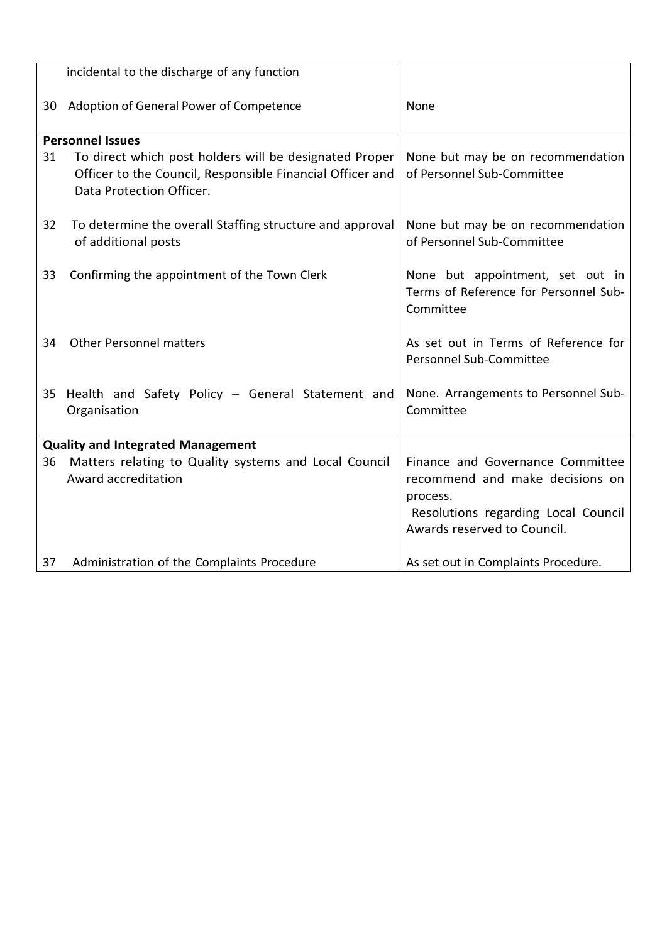|                                          | incidental to the discharge of any function                                                                                                     |                                                                                                                                                       |
|------------------------------------------|-------------------------------------------------------------------------------------------------------------------------------------------------|-------------------------------------------------------------------------------------------------------------------------------------------------------|
| 30                                       | Adoption of General Power of Competence                                                                                                         | None                                                                                                                                                  |
|                                          | <b>Personnel Issues</b>                                                                                                                         |                                                                                                                                                       |
| 31                                       | To direct which post holders will be designated Proper<br>Officer to the Council, Responsible Financial Officer and<br>Data Protection Officer. | None but may be on recommendation<br>of Personnel Sub-Committee                                                                                       |
| 32                                       | To determine the overall Staffing structure and approval<br>of additional posts                                                                 | None but may be on recommendation<br>of Personnel Sub-Committee                                                                                       |
| 33                                       | Confirming the appointment of the Town Clerk                                                                                                    | None but appointment, set out in<br>Terms of Reference for Personnel Sub-<br>Committee                                                                |
| 34                                       | <b>Other Personnel matters</b>                                                                                                                  | As set out in Terms of Reference for<br>Personnel Sub-Committee                                                                                       |
|                                          | 35 Health and Safety Policy - General Statement and<br>Organisation                                                                             | None. Arrangements to Personnel Sub-<br>Committee                                                                                                     |
| <b>Quality and Integrated Management</b> |                                                                                                                                                 |                                                                                                                                                       |
| 36                                       | Matters relating to Quality systems and Local Council<br>Award accreditation                                                                    | Finance and Governance Committee<br>recommend and make decisions on<br>process.<br>Resolutions regarding Local Council<br>Awards reserved to Council. |
| 37                                       | Administration of the Complaints Procedure                                                                                                      | As set out in Complaints Procedure.                                                                                                                   |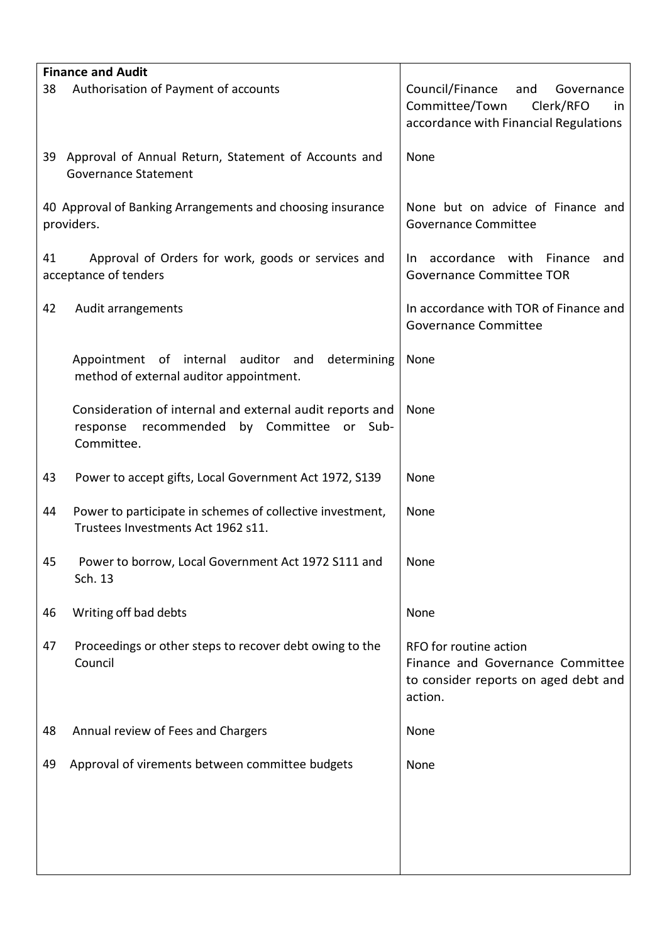| <b>Finance and Audit</b> |                                                                                                                           |                                                                                                                    |
|--------------------------|---------------------------------------------------------------------------------------------------------------------------|--------------------------------------------------------------------------------------------------------------------|
| 38                       | Authorisation of Payment of accounts                                                                                      | Council/Finance<br>and<br>Governance<br>Committee/Town<br>Clerk/RFO<br>in<br>accordance with Financial Regulations |
|                          | 39 Approval of Annual Return, Statement of Accounts and<br><b>Governance Statement</b>                                    | None                                                                                                               |
|                          | 40 Approval of Banking Arrangements and choosing insurance<br>providers.                                                  | None but on advice of Finance and<br><b>Governance Committee</b>                                                   |
| 41                       | Approval of Orders for work, goods or services and<br>acceptance of tenders                                               | In accordance with Finance<br>and<br><b>Governance Committee TOR</b>                                               |
| 42                       | Audit arrangements                                                                                                        | In accordance with TOR of Finance and<br><b>Governance Committee</b>                                               |
|                          | Appointment of internal<br>auditor and<br>determining<br>method of external auditor appointment.                          | None                                                                                                               |
|                          | Consideration of internal and external audit reports and<br>recommended<br>by Committee or Sub-<br>response<br>Committee. | None                                                                                                               |
| 43                       | Power to accept gifts, Local Government Act 1972, S139                                                                    | None                                                                                                               |
| 44                       | Power to participate in schemes of collective investment,<br>Trustees Investments Act 1962 s11.                           | None                                                                                                               |
| 45                       | Power to borrow, Local Government Act 1972 S111 and<br>Sch. 13                                                            | None                                                                                                               |
| 46                       | Writing off bad debts                                                                                                     | None                                                                                                               |
| 47                       | Proceedings or other steps to recover debt owing to the<br>Council                                                        | RFO for routine action<br>Finance and Governance Committee<br>to consider reports on aged debt and<br>action.      |
| 48                       | Annual review of Fees and Chargers                                                                                        | None                                                                                                               |
| 49                       | Approval of virements between committee budgets                                                                           | None                                                                                                               |
|                          |                                                                                                                           |                                                                                                                    |
|                          |                                                                                                                           |                                                                                                                    |
|                          |                                                                                                                           |                                                                                                                    |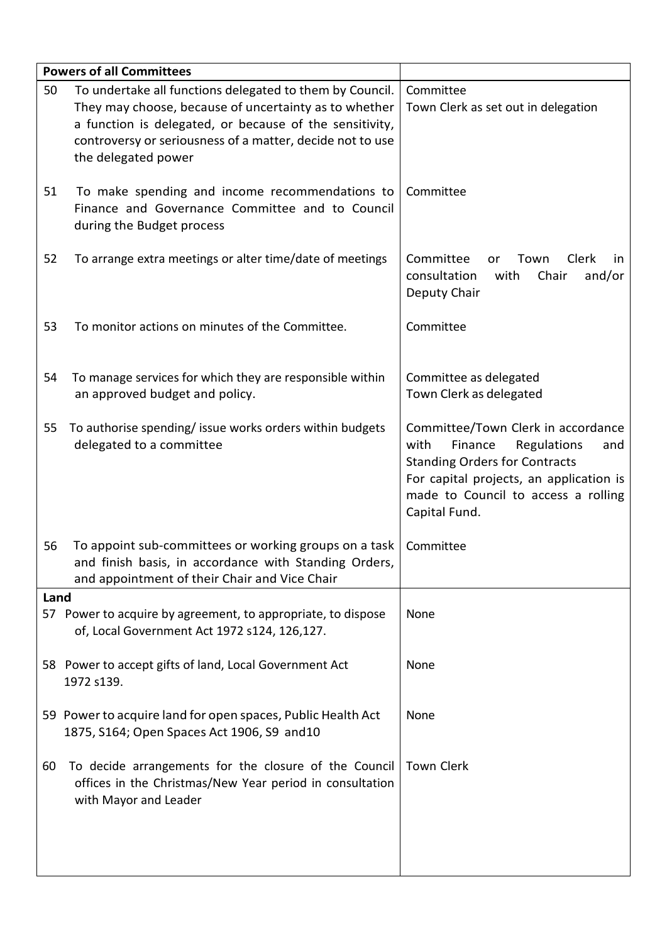|      | <b>Powers of all Committees</b>                                                                                                                                                                                                                                  |                                                                                                                                                                                                                        |
|------|------------------------------------------------------------------------------------------------------------------------------------------------------------------------------------------------------------------------------------------------------------------|------------------------------------------------------------------------------------------------------------------------------------------------------------------------------------------------------------------------|
| 50   | To undertake all functions delegated to them by Council.<br>They may choose, because of uncertainty as to whether<br>a function is delegated, or because of the sensitivity,<br>controversy or seriousness of a matter, decide not to use<br>the delegated power | Committee<br>Town Clerk as set out in delegation                                                                                                                                                                       |
| 51   | To make spending and income recommendations to<br>Finance and Governance Committee and to Council<br>during the Budget process                                                                                                                                   | Committee                                                                                                                                                                                                              |
| 52   | To arrange extra meetings or alter time/date of meetings                                                                                                                                                                                                         | Committee<br>Clerk<br>Town<br>or<br>in.<br>consultation<br>with<br>Chair<br>and/or<br>Deputy Chair                                                                                                                     |
| 53   | To monitor actions on minutes of the Committee.                                                                                                                                                                                                                  | Committee                                                                                                                                                                                                              |
| 54   | To manage services for which they are responsible within<br>an approved budget and policy.                                                                                                                                                                       | Committee as delegated<br>Town Clerk as delegated                                                                                                                                                                      |
| 55   | To authorise spending/ issue works orders within budgets<br>delegated to a committee                                                                                                                                                                             | Committee/Town Clerk in accordance<br>with<br>Finance<br>Regulations<br>and<br><b>Standing Orders for Contracts</b><br>For capital projects, an application is<br>made to Council to access a rolling<br>Capital Fund. |
| 56   | To appoint sub-committees or working groups on a task<br>and finish basis, in accordance with Standing Orders,<br>and appointment of their Chair and Vice Chair                                                                                                  | Committee                                                                                                                                                                                                              |
| Land |                                                                                                                                                                                                                                                                  |                                                                                                                                                                                                                        |
|      | 57 Power to acquire by agreement, to appropriate, to dispose<br>of, Local Government Act 1972 s124, 126,127.                                                                                                                                                     | None                                                                                                                                                                                                                   |
|      | 58 Power to accept gifts of land, Local Government Act<br>1972 s139.                                                                                                                                                                                             | None                                                                                                                                                                                                                   |
|      | 59 Power to acquire land for open spaces, Public Health Act<br>1875, S164; Open Spaces Act 1906, S9 and 10                                                                                                                                                       | None                                                                                                                                                                                                                   |
| 60   | To decide arrangements for the closure of the Council<br>offices in the Christmas/New Year period in consultation<br>with Mayor and Leader                                                                                                                       | <b>Town Clerk</b>                                                                                                                                                                                                      |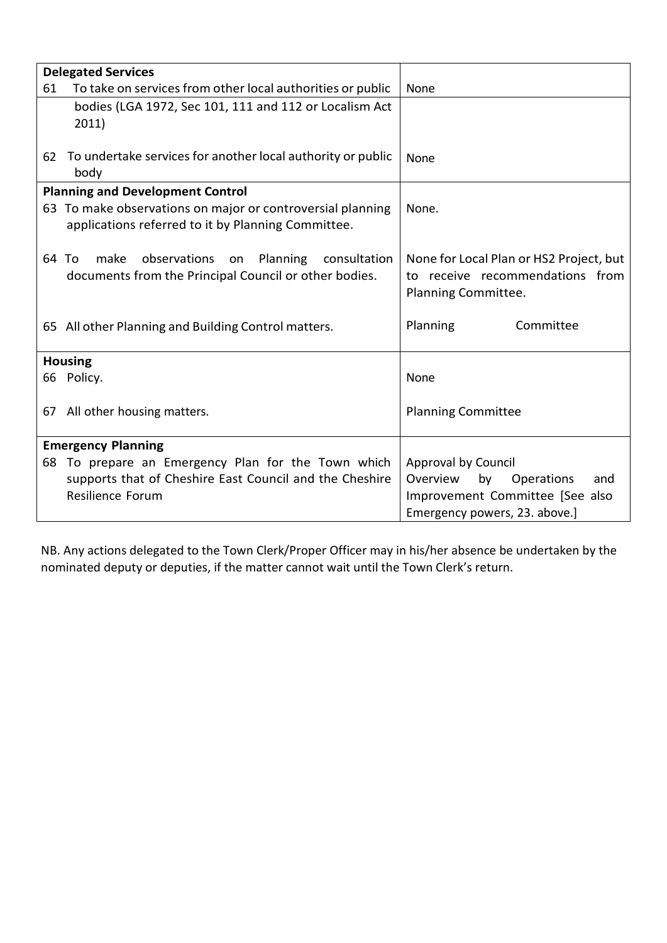|    | <b>Delegated Services</b>                                    |                                         |
|----|--------------------------------------------------------------|-----------------------------------------|
| 61 | To take on services from other local authorities or public   | None                                    |
|    | bodies (LGA 1972, Sec 101, 111 and 112 or Localism Act       |                                         |
|    | 2011)                                                        |                                         |
|    |                                                              |                                         |
| 62 | To undertake services for another local authority or public  | <b>None</b>                             |
|    | body                                                         |                                         |
|    | <b>Planning and Development Control</b>                      |                                         |
|    | 63 To make observations on major or controversial planning   | None.                                   |
|    | applications referred to it by Planning Committee.           |                                         |
|    |                                                              |                                         |
|    | make<br>observations<br>Planning consultation<br>64 To<br>on | None for Local Plan or HS2 Project, but |
|    | documents from the Principal Council or other bodies.        | to receive recommendations from         |
|    |                                                              | Planning Committee.                     |
|    |                                                              |                                         |
|    | 65 All other Planning and Building Control matters.          | Planning<br>Committee                   |
|    |                                                              |                                         |
|    | <b>Housing</b>                                               |                                         |
|    | 66 Policy.                                                   | None                                    |
|    |                                                              |                                         |
|    | 67 All other housing matters.                                | <b>Planning Committee</b>               |
|    | <b>Emergency Planning</b>                                    |                                         |
|    |                                                              |                                         |
|    | 68 To prepare an Emergency Plan for the Town which           | Approval by Council                     |
|    | supports that of Cheshire East Council and the Cheshire      | Operations<br>Overview<br>by<br>and     |
|    | Resilience Forum                                             | Improvement Committee [See also         |
|    |                                                              | Emergency powers, 23. above.]           |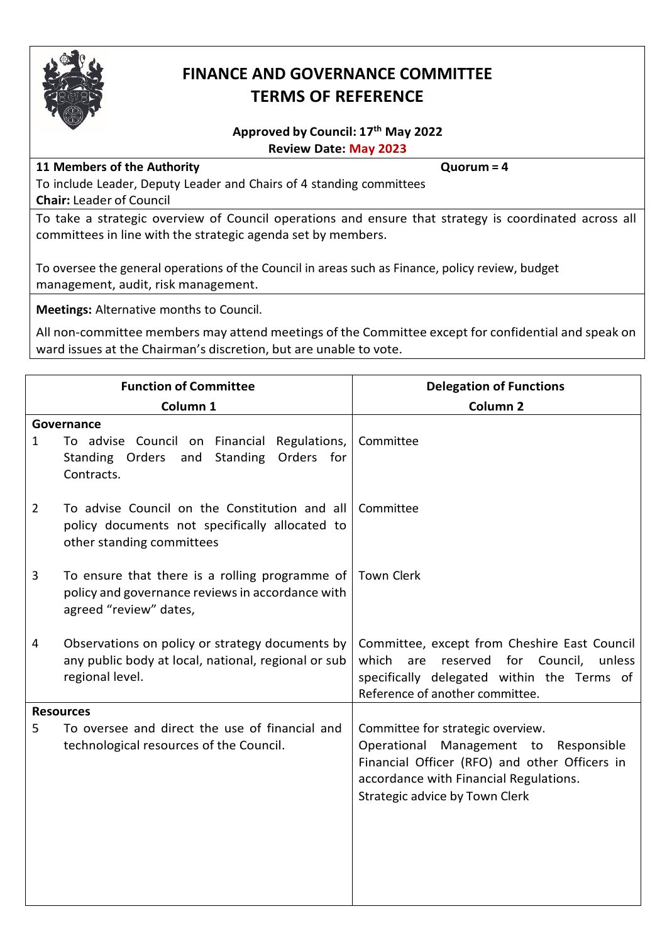

## **FINANCE AND GOVERNANCE COMMITTEE TERMS OF REFERENCE**

### **Approved by Council: 17th May 2022 Review Date: May 2023**

### **11 Members of the Authority Quorum = 4**

To include Leader, Deputy Leader and Chairs of 4 standing committees **Chair:** Leader of Council

To take a strategic overview of Council operations and ensure that strategy is coordinated across all committees in line with the strategic agenda set by members.

To oversee the general operations of the Council in areas such as Finance, policy review, budget management, audit, risk management.

**Meetings:** Alternative months to Council.

|   | <b>Function of Committee</b>                                                                                                 | <b>Delegation of Functions</b>                                                                                                                                                                          |
|---|------------------------------------------------------------------------------------------------------------------------------|---------------------------------------------------------------------------------------------------------------------------------------------------------------------------------------------------------|
|   | Column <sub>1</sub>                                                                                                          | Column <sub>2</sub>                                                                                                                                                                                     |
| 1 | Governance<br>To advise Council on Financial Regulations,<br>Standing Orders<br>Standing<br>Orders for<br>and<br>Contracts.  | Committee                                                                                                                                                                                               |
| 2 | To advise Council on the Constitution and all<br>policy documents not specifically allocated to<br>other standing committees | Committee                                                                                                                                                                                               |
| 3 | To ensure that there is a rolling programme of<br>policy and governance reviews in accordance with<br>agreed "review" dates, | <b>Town Clerk</b>                                                                                                                                                                                       |
| 4 | Observations on policy or strategy documents by<br>any public body at local, national, regional or sub<br>regional level.    | Committee, except from Cheshire East Council<br>Council,<br>which<br>reserved<br>for<br>unless<br>are<br>specifically delegated within the Terms of<br>Reference of another committee.                  |
|   | <b>Resources</b>                                                                                                             |                                                                                                                                                                                                         |
| 5 | To oversee and direct the use of financial and<br>technological resources of the Council.                                    | Committee for strategic overview.<br>Operational Management to Responsible<br>Financial Officer (RFO) and other Officers in<br>accordance with Financial Regulations.<br>Strategic advice by Town Clerk |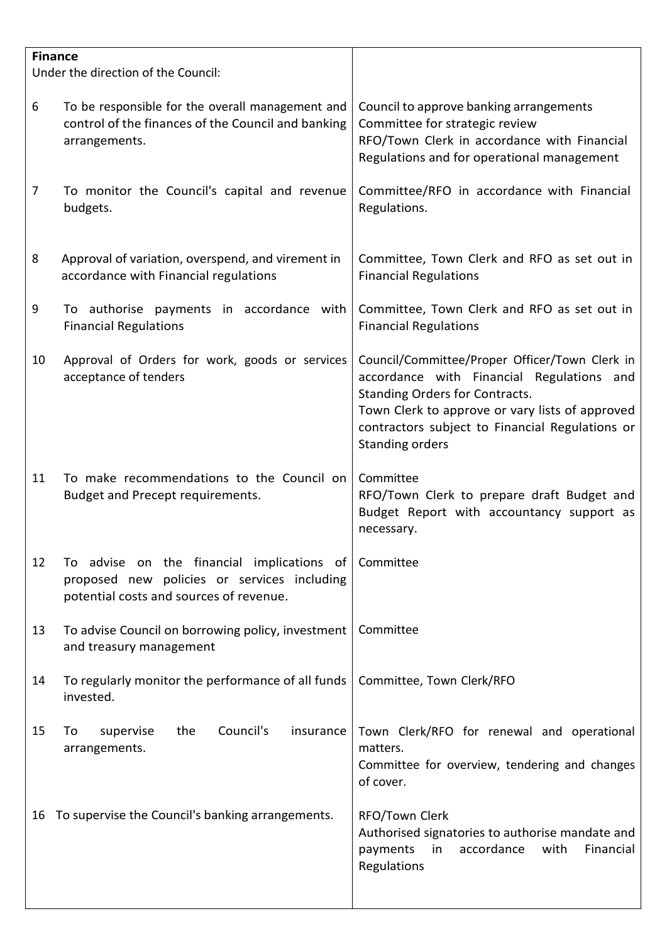| Council to approve banking arrangements<br>Committee for strategic review<br>RFO/Town Clerk in accordance with Financial<br>Regulations and for operational management                                                                                        |
|---------------------------------------------------------------------------------------------------------------------------------------------------------------------------------------------------------------------------------------------------------------|
| Committee/RFO in accordance with Financial<br>Regulations.                                                                                                                                                                                                    |
| Committee, Town Clerk and RFO as set out in<br><b>Financial Regulations</b>                                                                                                                                                                                   |
| Committee, Town Clerk and RFO as set out in<br><b>Financial Regulations</b>                                                                                                                                                                                   |
| Council/Committee/Proper Officer/Town Clerk in<br>accordance with Financial Regulations and<br><b>Standing Orders for Contracts.</b><br>Town Clerk to approve or vary lists of approved<br>contractors subject to Financial Regulations or<br>Standing orders |
| Committee<br>RFO/Town Clerk to prepare draft Budget and<br>Budget Report with accountancy support as<br>necessary.                                                                                                                                            |
| Committee                                                                                                                                                                                                                                                     |
| Committee                                                                                                                                                                                                                                                     |
| Committee, Town Clerk/RFO                                                                                                                                                                                                                                     |
| Town Clerk/RFO for renewal and operational<br>matters.<br>Committee for overview, tendering and changes<br>of cover.                                                                                                                                          |
| RFO/Town Clerk<br>Authorised signatories to authorise mandate and<br>with<br>Financial<br>payments<br>in<br>accordance<br>Regulations                                                                                                                         |
|                                                                                                                                                                                                                                                               |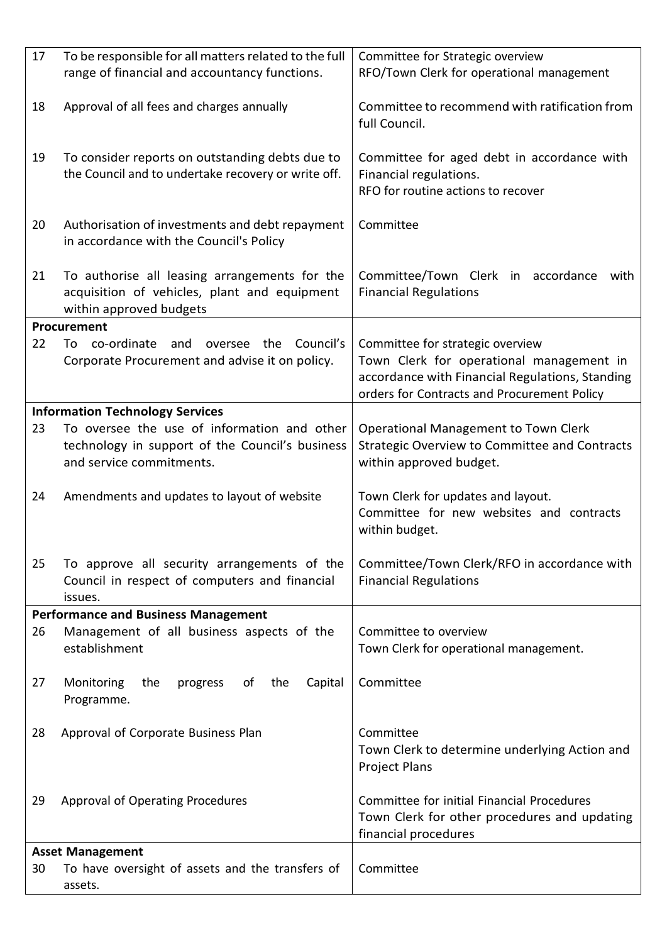| 17 | To be responsible for all matters related to the full                                                                      | Committee for Strategic overview                                                                                                                                               |
|----|----------------------------------------------------------------------------------------------------------------------------|--------------------------------------------------------------------------------------------------------------------------------------------------------------------------------|
|    | range of financial and accountancy functions.                                                                              | RFO/Town Clerk for operational management                                                                                                                                      |
| 18 | Approval of all fees and charges annually                                                                                  | Committee to recommend with ratification from<br>full Council.                                                                                                                 |
| 19 | To consider reports on outstanding debts due to<br>the Council and to undertake recovery or write off.                     | Committee for aged debt in accordance with<br>Financial regulations.<br>RFO for routine actions to recover                                                                     |
| 20 | Authorisation of investments and debt repayment<br>in accordance with the Council's Policy                                 | Committee                                                                                                                                                                      |
| 21 | To authorise all leasing arrangements for the<br>acquisition of vehicles, plant and equipment<br>within approved budgets   | Committee/Town Clerk in accordance with<br><b>Financial Regulations</b>                                                                                                        |
|    | Procurement                                                                                                                |                                                                                                                                                                                |
| 22 | co-ordinate<br>Council's<br>and<br>the<br>To<br>oversee<br>Corporate Procurement and advise it on policy.                  | Committee for strategic overview<br>Town Clerk for operational management in<br>accordance with Financial Regulations, Standing<br>orders for Contracts and Procurement Policy |
|    | <b>Information Technology Services</b>                                                                                     |                                                                                                                                                                                |
| 23 | To oversee the use of information and other<br>technology in support of the Council's business<br>and service commitments. | Operational Management to Town Clerk<br><b>Strategic Overview to Committee and Contracts</b><br>within approved budget.                                                        |
| 24 | Amendments and updates to layout of website                                                                                | Town Clerk for updates and layout.<br>Committee for new websites and contracts<br>within budget.                                                                               |
| 25 | To approve all security arrangements of the<br>Council in respect of computers and financial<br>issues.                    | Committee/Town Clerk/RFO in accordance with<br><b>Financial Regulations</b>                                                                                                    |
|    | <b>Performance and Business Management</b>                                                                                 |                                                                                                                                                                                |
| 26 | Management of all business aspects of the<br>establishment                                                                 | Committee to overview<br>Town Clerk for operational management.                                                                                                                |
| 27 | Monitoring<br>the<br>progress<br>of<br>the<br>Capital<br>Programme.                                                        | Committee                                                                                                                                                                      |
| 28 | Approval of Corporate Business Plan                                                                                        | Committee<br>Town Clerk to determine underlying Action and<br><b>Project Plans</b>                                                                                             |
| 29 | <b>Approval of Operating Procedures</b>                                                                                    | Committee for initial Financial Procedures<br>Town Clerk for other procedures and updating<br>financial procedures                                                             |
|    | <b>Asset Management</b>                                                                                                    |                                                                                                                                                                                |
| 30 | To have oversight of assets and the transfers of<br>assets.                                                                | Committee                                                                                                                                                                      |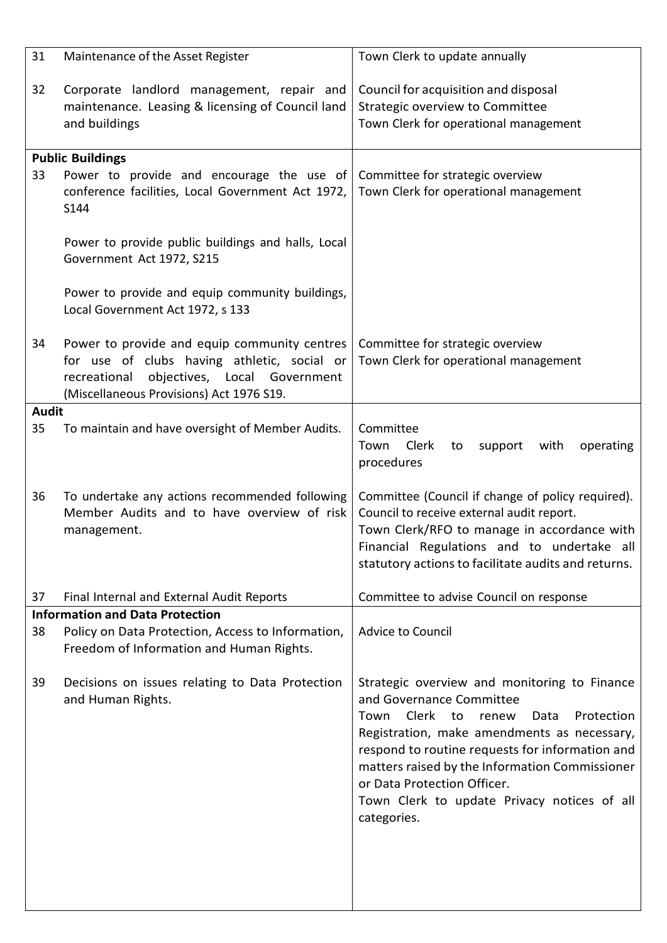| 31           | Maintenance of the Asset Register                                                                                                                                                       | Town Clerk to update annually                                                                                                                                                                                                                                                                                                                                             |
|--------------|-----------------------------------------------------------------------------------------------------------------------------------------------------------------------------------------|---------------------------------------------------------------------------------------------------------------------------------------------------------------------------------------------------------------------------------------------------------------------------------------------------------------------------------------------------------------------------|
| 32           | Corporate landlord management, repair and<br>maintenance. Leasing & licensing of Council land<br>and buildings                                                                          | Council for acquisition and disposal<br>Strategic overview to Committee<br>Town Clerk for operational management                                                                                                                                                                                                                                                          |
|              | <b>Public Buildings</b>                                                                                                                                                                 |                                                                                                                                                                                                                                                                                                                                                                           |
| 33           | Power to provide and encourage the use of<br>conference facilities, Local Government Act 1972,<br>S144                                                                                  | Committee for strategic overview<br>Town Clerk for operational management                                                                                                                                                                                                                                                                                                 |
|              | Power to provide public buildings and halls, Local<br>Government Act 1972, S215                                                                                                         |                                                                                                                                                                                                                                                                                                                                                                           |
|              | Power to provide and equip community buildings,<br>Local Government Act 1972, s 133                                                                                                     |                                                                                                                                                                                                                                                                                                                                                                           |
| 34           | Power to provide and equip community centres<br>for use of clubs having athletic, social or<br>objectives, Local Government<br>recreational<br>(Miscellaneous Provisions) Act 1976 S19. | Committee for strategic overview<br>Town Clerk for operational management                                                                                                                                                                                                                                                                                                 |
| <b>Audit</b> |                                                                                                                                                                                         |                                                                                                                                                                                                                                                                                                                                                                           |
| 35           | To maintain and have oversight of Member Audits.                                                                                                                                        | Committee<br>Clerk<br>Town<br>with<br>operating<br>to<br>support<br>procedures                                                                                                                                                                                                                                                                                            |
| 36           | To undertake any actions recommended following<br>Member Audits and to have overview of risk<br>management.                                                                             | Committee (Council if change of policy required).<br>Council to receive external audit report.<br>Town Clerk/RFO to manage in accordance with<br>Financial Regulations and to undertake all<br>statutory actions to facilitate audits and returns.                                                                                                                        |
| 37           | Final Internal and External Audit Reports                                                                                                                                               | Committee to advise Council on response                                                                                                                                                                                                                                                                                                                                   |
|              | <b>Information and Data Protection</b>                                                                                                                                                  |                                                                                                                                                                                                                                                                                                                                                                           |
| 38           | Policy on Data Protection, Access to Information,<br>Freedom of Information and Human Rights.                                                                                           | Advice to Council                                                                                                                                                                                                                                                                                                                                                         |
| 39           | Decisions on issues relating to Data Protection<br>and Human Rights.                                                                                                                    | Strategic overview and monitoring to Finance<br>and Governance Committee<br>Clerk to renew<br>Town<br>Protection<br>Data<br>Registration, make amendments as necessary,<br>respond to routine requests for information and<br>matters raised by the Information Commissioner<br>or Data Protection Officer.<br>Town Clerk to update Privacy notices of all<br>categories. |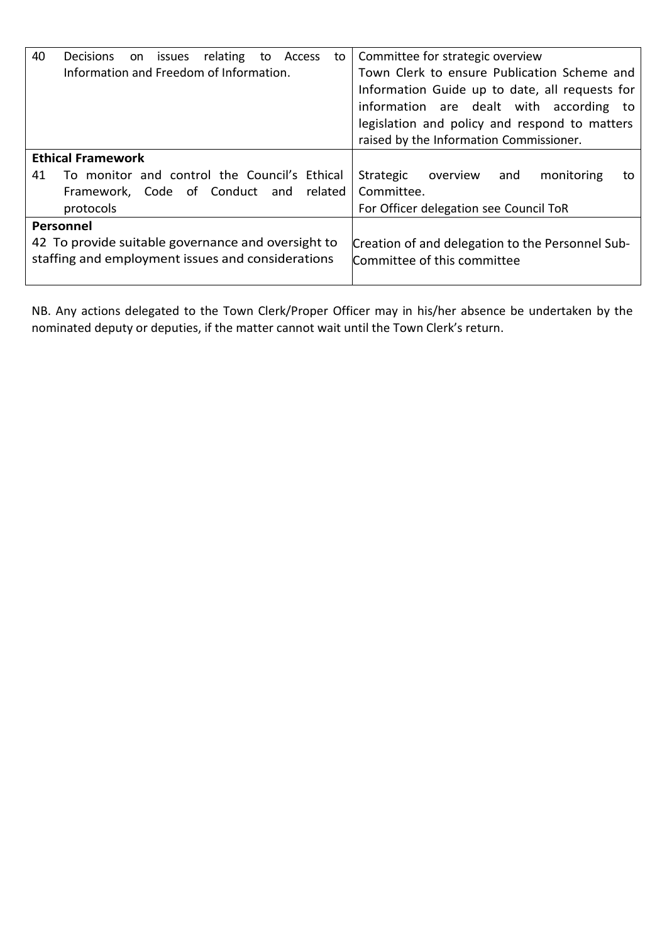| 40 | <b>Decisions</b>                                                                                        | on | issues | relating | to | Access  | to | Committee for strategic overview                                                |
|----|---------------------------------------------------------------------------------------------------------|----|--------|----------|----|---------|----|---------------------------------------------------------------------------------|
|    | Information and Freedom of Information.                                                                 |    |        |          |    |         |    | Town Clerk to ensure Publication Scheme and                                     |
|    |                                                                                                         |    |        |          |    |         |    | Information Guide up to date, all requests for                                  |
|    |                                                                                                         |    |        |          |    |         |    | information are dealt with according to                                         |
|    |                                                                                                         |    |        |          |    |         |    | legislation and policy and respond to matters                                   |
|    |                                                                                                         |    |        |          |    |         |    | raised by the Information Commissioner.                                         |
|    | <b>Ethical Framework</b>                                                                                |    |        |          |    |         |    |                                                                                 |
| 41 | To monitor and control the Council's Ethical                                                            |    |        |          |    |         |    | Strategic<br>monitoring<br>overview<br>and<br>to                                |
|    | Framework, Code of Conduct and                                                                          |    |        |          |    | related |    | Committee.                                                                      |
|    | protocols                                                                                               |    |        |          |    |         |    | For Officer delegation see Council ToR                                          |
|    | Personnel                                                                                               |    |        |          |    |         |    |                                                                                 |
|    | 42 To provide suitable governance and oversight to<br>staffing and employment issues and considerations |    |        |          |    |         |    | Creation of and delegation to the Personnel Sub-<br>Committee of this committee |
|    |                                                                                                         |    |        |          |    |         |    |                                                                                 |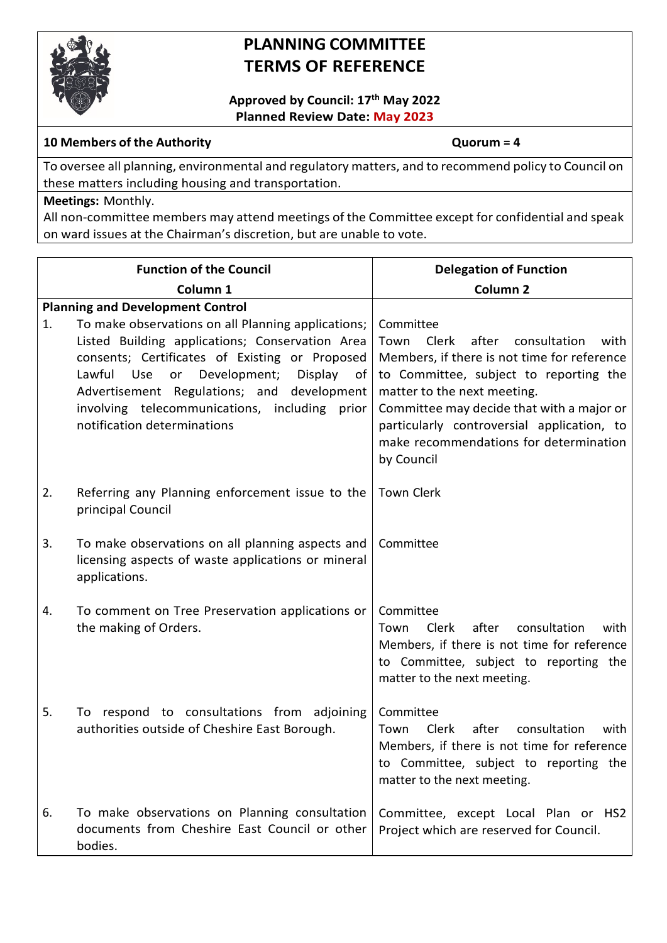

## **PLANNING COMMITTEE TERMS OF REFERENCE**

**Approved by Council: 17th May 2022 Planned Review Date: May 2023**

### **10 Members of the Authority Quorum = 4**

To oversee all planning, environmental and regulatory matters, and to recommend policy to Council on these matters including housing and transportation.

### **Meetings:** Monthly.

|    | <b>Function of the Council</b>                                                                                                                                                                                                                                                                                                                                                                     | <b>Delegation of Function</b>                                                                                                                                                                                                                                                                                                          |
|----|----------------------------------------------------------------------------------------------------------------------------------------------------------------------------------------------------------------------------------------------------------------------------------------------------------------------------------------------------------------------------------------------------|----------------------------------------------------------------------------------------------------------------------------------------------------------------------------------------------------------------------------------------------------------------------------------------------------------------------------------------|
|    | Column <sub>1</sub>                                                                                                                                                                                                                                                                                                                                                                                | Column <sub>2</sub>                                                                                                                                                                                                                                                                                                                    |
| 1. | <b>Planning and Development Control</b><br>To make observations on all Planning applications;<br>Listed Building applications; Conservation Area<br>consents; Certificates of Existing or Proposed<br>Lawful<br>or<br>Development;<br><b>Use</b><br>Display<br>of<br>Advertisement Regulations; and<br>development<br>involving telecommunications, including prior<br>notification determinations | Committee<br>Town<br>Clerk<br>after<br>consultation<br>with<br>Members, if there is not time for reference<br>to Committee, subject to reporting the<br>matter to the next meeting.<br>Committee may decide that with a major or<br>particularly controversial application, to<br>make recommendations for determination<br>by Council |
| 2. | Referring any Planning enforcement issue to the<br>principal Council                                                                                                                                                                                                                                                                                                                               | Town Clerk                                                                                                                                                                                                                                                                                                                             |
| 3. | To make observations on all planning aspects and<br>licensing aspects of waste applications or mineral<br>applications.                                                                                                                                                                                                                                                                            | Committee                                                                                                                                                                                                                                                                                                                              |
| 4. | To comment on Tree Preservation applications or<br>the making of Orders.                                                                                                                                                                                                                                                                                                                           | Committee<br><b>Clerk</b><br>after<br>consultation<br>Town<br>with<br>Members, if there is not time for reference<br>to Committee, subject to reporting the<br>matter to the next meeting.                                                                                                                                             |
| 5. | To respond to consultations from adjoining<br>authorities outside of Cheshire East Borough.                                                                                                                                                                                                                                                                                                        | Committee<br><b>Clerk</b><br>after<br>consultation<br>Town<br>with<br>Members, if there is not time for reference<br>to Committee, subject to reporting the<br>matter to the next meeting.                                                                                                                                             |
| 6. | To make observations on Planning consultation<br>documents from Cheshire East Council or other<br>bodies.                                                                                                                                                                                                                                                                                          | Committee, except Local Plan or HS2<br>Project which are reserved for Council.                                                                                                                                                                                                                                                         |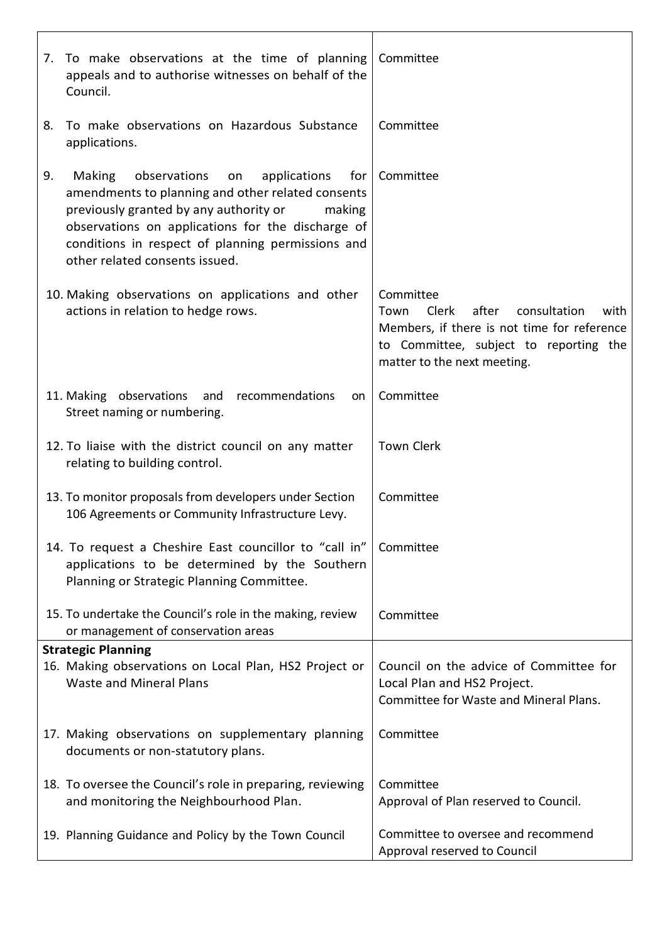|    | 7. To make observations at the time of planning<br>appeals and to authorise witnesses on behalf of the<br>Council.                                                                                                                                                                                              | Committee                                                                                                                                                                                  |
|----|-----------------------------------------------------------------------------------------------------------------------------------------------------------------------------------------------------------------------------------------------------------------------------------------------------------------|--------------------------------------------------------------------------------------------------------------------------------------------------------------------------------------------|
| 8. | To make observations on Hazardous Substance<br>applications.                                                                                                                                                                                                                                                    | Committee                                                                                                                                                                                  |
| 9. | <b>Making</b><br>observations<br>applications<br>for<br>on<br>amendments to planning and other related consents<br>previously granted by any authority or<br>making<br>observations on applications for the discharge of<br>conditions in respect of planning permissions and<br>other related consents issued. | Committee                                                                                                                                                                                  |
|    | 10. Making observations on applications and other<br>actions in relation to hedge rows.                                                                                                                                                                                                                         | Committee<br><b>Clerk</b><br>after<br>consultation<br>Town<br>with<br>Members, if there is not time for reference<br>to Committee, subject to reporting the<br>matter to the next meeting. |
|    | 11. Making observations<br>and<br>recommendations<br>on.<br>Street naming or numbering.                                                                                                                                                                                                                         | Committee                                                                                                                                                                                  |
|    | 12. To liaise with the district council on any matter<br>relating to building control.                                                                                                                                                                                                                          | <b>Town Clerk</b>                                                                                                                                                                          |
|    | 13. To monitor proposals from developers under Section<br>106 Agreements or Community Infrastructure Levy.                                                                                                                                                                                                      | Committee                                                                                                                                                                                  |
|    | 14. To request a Cheshire East councillor to "call in"<br>applications to be determined by the Southern<br>Planning or Strategic Planning Committee.                                                                                                                                                            | Committee                                                                                                                                                                                  |
|    | 15. To undertake the Council's role in the making, review<br>or management of conservation areas                                                                                                                                                                                                                | Committee                                                                                                                                                                                  |
|    | <b>Strategic Planning</b><br>16. Making observations on Local Plan, HS2 Project or<br><b>Waste and Mineral Plans</b>                                                                                                                                                                                            | Council on the advice of Committee for<br>Local Plan and HS2 Project.<br><b>Committee for Waste and Mineral Plans.</b>                                                                     |
|    | 17. Making observations on supplementary planning<br>documents or non-statutory plans.                                                                                                                                                                                                                          | Committee                                                                                                                                                                                  |
|    | 18. To oversee the Council's role in preparing, reviewing<br>and monitoring the Neighbourhood Plan.                                                                                                                                                                                                             | Committee<br>Approval of Plan reserved to Council.                                                                                                                                         |
|    | 19. Planning Guidance and Policy by the Town Council                                                                                                                                                                                                                                                            | Committee to oversee and recommend<br>Approval reserved to Council                                                                                                                         |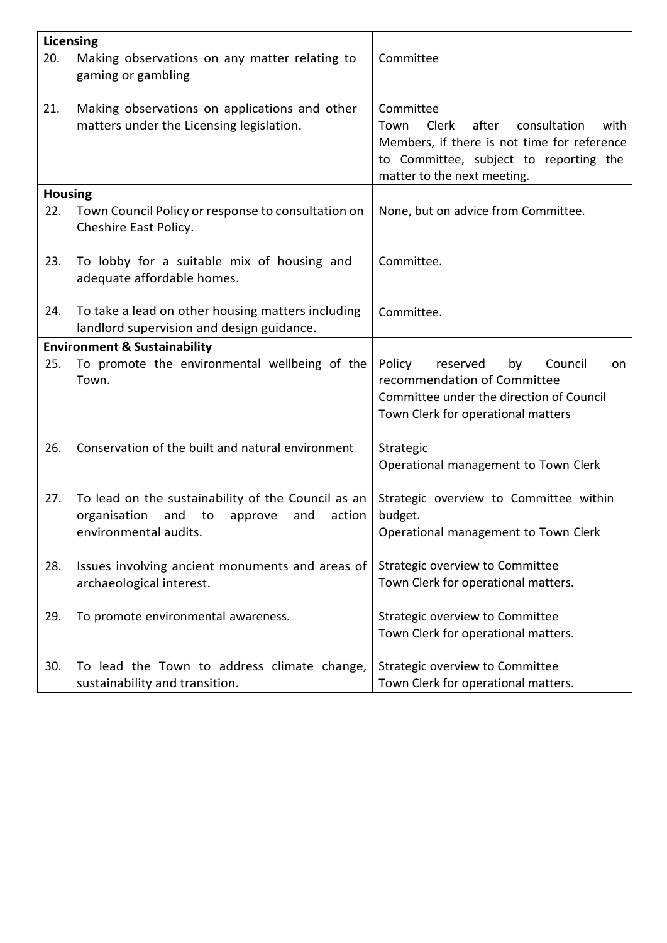| <b>Licensing</b> |                                                                                                                                      |                                                                                                                                                                                     |
|------------------|--------------------------------------------------------------------------------------------------------------------------------------|-------------------------------------------------------------------------------------------------------------------------------------------------------------------------------------|
| 20.              | Making observations on any matter relating to<br>gaming or gambling                                                                  | Committee                                                                                                                                                                           |
| 21.              | Making observations on applications and other<br>matters under the Licensing legislation.                                            | Committee<br>Clerk<br>after<br>consultation<br>Town<br>with<br>Members, if there is not time for reference<br>to Committee, subject to reporting the<br>matter to the next meeting. |
| <b>Housing</b>   |                                                                                                                                      |                                                                                                                                                                                     |
| 22.              | Town Council Policy or response to consultation on<br>Cheshire East Policy.                                                          | None, but on advice from Committee.                                                                                                                                                 |
| 23.              | To lobby for a suitable mix of housing and<br>adequate affordable homes.                                                             | Committee.                                                                                                                                                                          |
| 24.              | To take a lead on other housing matters including<br>landlord supervision and design guidance.                                       | Committee.                                                                                                                                                                          |
|                  | <b>Environment &amp; Sustainability</b>                                                                                              |                                                                                                                                                                                     |
| 25.              | To promote the environmental wellbeing of the<br>Town.                                                                               | Policy<br>reserved<br>Council<br>by<br>on<br>recommendation of Committee<br>Committee under the direction of Council<br>Town Clerk for operational matters                          |
| 26.              | Conservation of the built and natural environment                                                                                    | Strategic<br>Operational management to Town Clerk                                                                                                                                   |
| 27.              | To lead on the sustainability of the Council as an<br>organisation<br>action<br>and<br>to<br>approve<br>and<br>environmental audits. | Strategic overview to Committee within<br>budget.<br>Operational management to Town Clerk                                                                                           |
| 28.              | Issues involving ancient monuments and areas of<br>archaeological interest.                                                          | Strategic overview to Committee<br>Town Clerk for operational matters.                                                                                                              |
| 29.              | To promote environmental awareness.                                                                                                  | Strategic overview to Committee<br>Town Clerk for operational matters.                                                                                                              |
| 30.              | To lead the Town to address climate change,<br>sustainability and transition.                                                        | Strategic overview to Committee<br>Town Clerk for operational matters.                                                                                                              |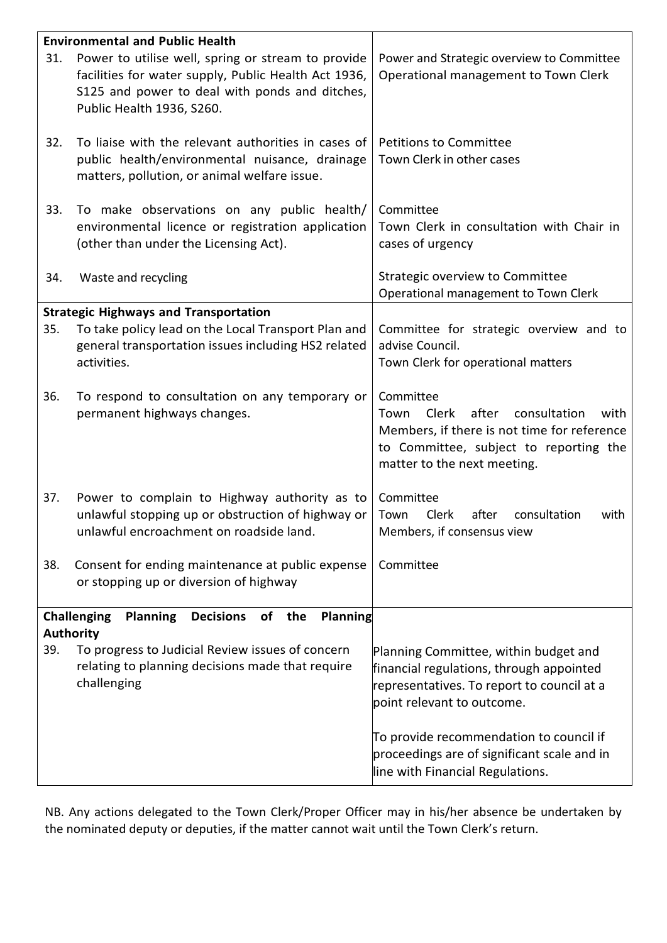|     | <b>Environmental and Public Health</b>                                                                                                                                                    |                                                                                                                                                                                     |
|-----|-------------------------------------------------------------------------------------------------------------------------------------------------------------------------------------------|-------------------------------------------------------------------------------------------------------------------------------------------------------------------------------------|
| 31. | Power to utilise well, spring or stream to provide<br>facilities for water supply, Public Health Act 1936,<br>S125 and power to deal with ponds and ditches,<br>Public Health 1936, S260. | Power and Strategic overview to Committee<br>Operational management to Town Clerk                                                                                                   |
| 32. | To liaise with the relevant authorities in cases of<br>public health/environmental nuisance, drainage<br>matters, pollution, or animal welfare issue.                                     | <b>Petitions to Committee</b><br>Town Clerk in other cases                                                                                                                          |
| 33. | To make observations on any public health/<br>environmental licence or registration application<br>(other than under the Licensing Act).                                                  | Committee<br>Town Clerk in consultation with Chair in<br>cases of urgency                                                                                                           |
| 34. | Waste and recycling                                                                                                                                                                       | Strategic overview to Committee<br>Operational management to Town Clerk                                                                                                             |
|     | <b>Strategic Highways and Transportation</b>                                                                                                                                              |                                                                                                                                                                                     |
| 35. | To take policy lead on the Local Transport Plan and<br>general transportation issues including HS2 related<br>activities.                                                                 | Committee for strategic overview and to<br>advise Council.<br>Town Clerk for operational matters                                                                                    |
| 36. | To respond to consultation on any temporary or<br>permanent highways changes.                                                                                                             | Committee<br>Clerk<br>after<br>consultation<br>Town<br>with<br>Members, if there is not time for reference<br>to Committee, subject to reporting the<br>matter to the next meeting. |
| 37. | Power to complain to Highway authority as to<br>unlawful stopping up or obstruction of highway or<br>unlawful encroachment on roadside land.                                              | Committee<br>Town<br><b>Clerk</b><br>after<br>consultation<br>with<br>Members, if consensus view                                                                                    |
| 38. | Consent for ending maintenance at public expense<br>or stopping up or diversion of highway                                                                                                | Committee                                                                                                                                                                           |
|     | Planning<br>Planning<br>Decisions of the<br>Challenging<br><b>Authority</b>                                                                                                               |                                                                                                                                                                                     |
| 39. | To progress to Judicial Review issues of concern<br>relating to planning decisions made that require<br>challenging                                                                       | Planning Committee, within budget and<br>financial regulations, through appointed<br>representatives. To report to council at a<br>point relevant to outcome.                       |
|     |                                                                                                                                                                                           | To provide recommendation to council if<br>proceedings are of significant scale and in<br>line with Financial Regulations.                                                          |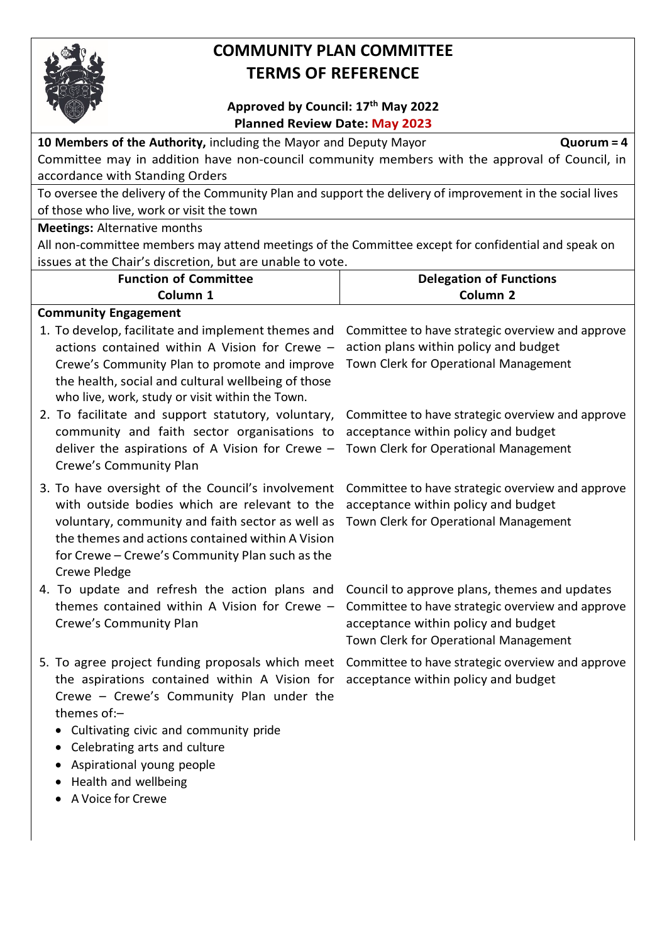

## **COMMUNITY PLAN COMMITTEE TERMS OF REFERENCE**

### **Approved by Council: 17th May 2022 Planned Review Date: May 2023**

| Planned Review Date: May 2023                                                                                                                                                          |  |  |  |  |  |
|----------------------------------------------------------------------------------------------------------------------------------------------------------------------------------------|--|--|--|--|--|
| 10 Members of the Authority, including the Mayor and Deputy Mayor<br>$Quorum = 4$                                                                                                      |  |  |  |  |  |
| Committee may in addition have non-council community members with the approval of Council, in                                                                                          |  |  |  |  |  |
|                                                                                                                                                                                        |  |  |  |  |  |
| To oversee the delivery of the Community Plan and support the delivery of improvement in the social lives                                                                              |  |  |  |  |  |
|                                                                                                                                                                                        |  |  |  |  |  |
|                                                                                                                                                                                        |  |  |  |  |  |
| All non-committee members may attend meetings of the Committee except for confidential and speak on                                                                                    |  |  |  |  |  |
| issues at the Chair's discretion, but are unable to vote.                                                                                                                              |  |  |  |  |  |
| <b>Delegation of Functions</b>                                                                                                                                                         |  |  |  |  |  |
| Column <sub>2</sub>                                                                                                                                                                    |  |  |  |  |  |
|                                                                                                                                                                                        |  |  |  |  |  |
| Committee to have strategic overview and approve                                                                                                                                       |  |  |  |  |  |
| action plans within policy and budget                                                                                                                                                  |  |  |  |  |  |
| Town Clerk for Operational Management                                                                                                                                                  |  |  |  |  |  |
| Committee to have strategic overview and approve                                                                                                                                       |  |  |  |  |  |
| acceptance within policy and budget                                                                                                                                                    |  |  |  |  |  |
| Town Clerk for Operational Management                                                                                                                                                  |  |  |  |  |  |
|                                                                                                                                                                                        |  |  |  |  |  |
| Committee to have strategic overview and approve<br>acceptance within policy and budget<br>Town Clerk for Operational Management                                                       |  |  |  |  |  |
| Council to approve plans, themes and updates<br>Committee to have strategic overview and approve<br>acceptance within policy and budget<br>Town Clerk for Operational Management       |  |  |  |  |  |
| 5. To agree project funding proposals which meet Committee to have strategic overview and approve<br>the aspirations contained within A Vision for acceptance within policy and budget |  |  |  |  |  |
|                                                                                                                                                                                        |  |  |  |  |  |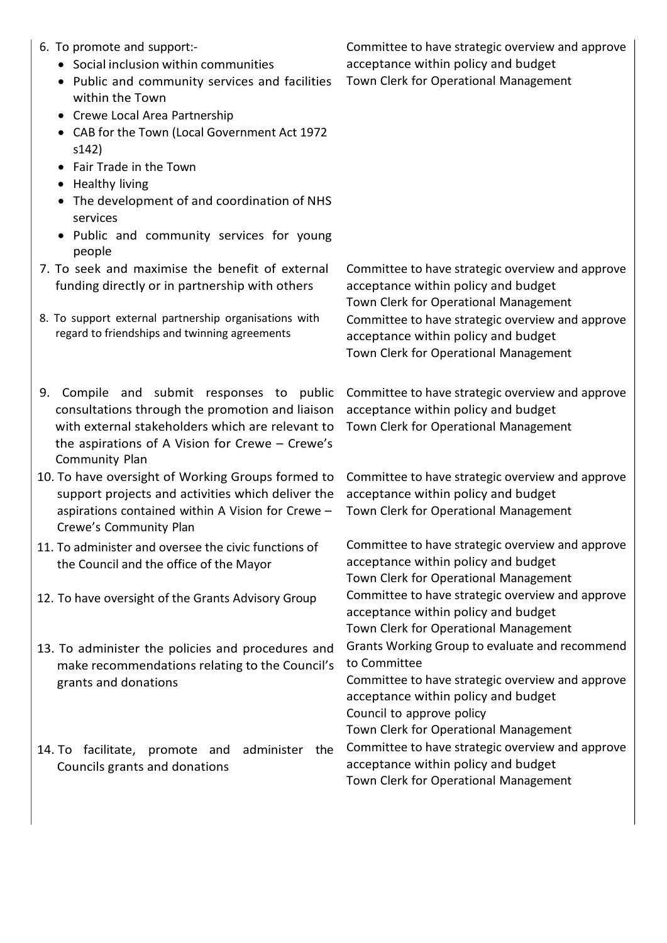- 6. To promote and support:-
	- Social inclusion within communities
	- Public and community services and facilities within the Town
	- Crewe Local Area Partnership
	- CAB for the Town (Local Government Act 1972 s142)
	- Fair Trade in the Town
	- Healthy living
	- The development of and coordination of NHS services
	- Public and community services for young people
- 7. To seek and maximise the benefit of external funding directly or in partnership with others
- 8. To support external partnership organisations with regard to friendships and twinning agreements
- 9. Compile and submit responses to public consultations through the promotion and liaison with external stakeholders which are relevant to the aspirations of A Vision for Crewe – Crewe's Community Plan
- 10. To have oversight of Working Groups formed to support projects and activities which deliver the aspirations contained within A Vision for Crewe – Crewe's Community Plan
- 11. To administer and oversee the civic functions of the Council and the office of the Mayor
- 
- 13. To administer the policies and procedures and make recommendations relating to the Council's grants and donations
- 14. To facilitate, promote and administer the Councils grants and donations

Committee to have strategic overview and approve acceptance within policy and budget Town Clerk for Operational Management

Committee to have strategic overview and approve acceptance within policy and budget Town Clerk for Operational Management Committee to have strategic overview and approve acceptance within policy and budget Town Clerk for Operational Management

Committee to have strategic overview and approve acceptance within policy and budget Town Clerk for Operational Management

Committee to have strategic overview and approve acceptance within policy and budget Town Clerk for Operational Management

Committee to have strategic overview and approve acceptance within policy and budget Town Clerk for Operational Management 12. To have oversight of the Grants Advisory Group Committee to have strategic overview and approve acceptance within policy and budget Town Clerk for Operational Management Grants Working Group to evaluate and recommend to Committee Committee to have strategic overview and approve acceptance within policy and budget Council to approve policy Town Clerk for Operational Management Committee to have strategic overview and approve acceptance within policy and budget Town Clerk for Operational Management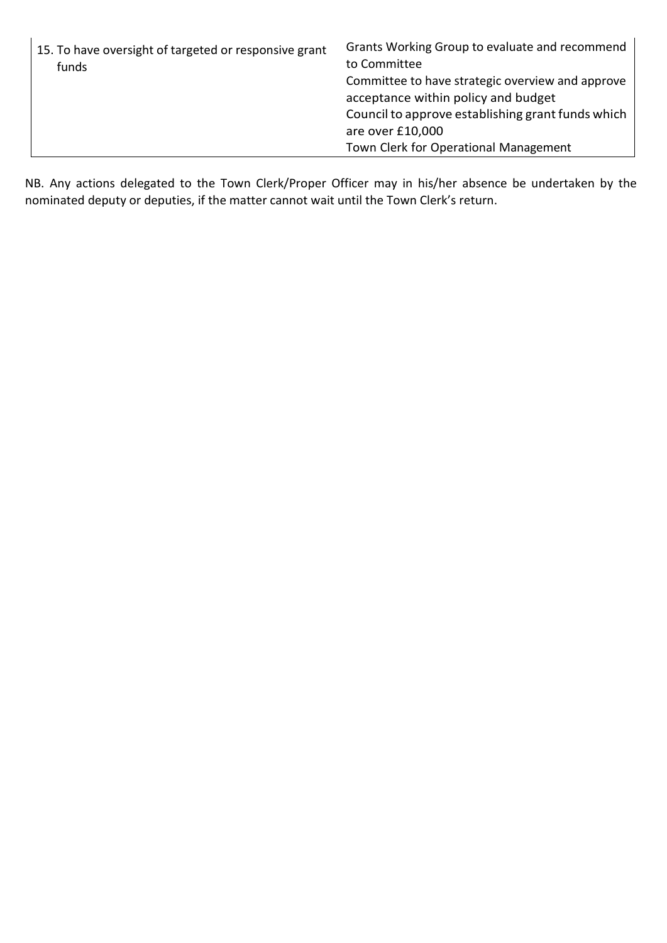| 15. To have oversight of targeted or responsive grant<br>funds | Grants Working Group to evaluate and recommend<br>to Committee |
|----------------------------------------------------------------|----------------------------------------------------------------|
|                                                                | Committee to have strategic overview and approve               |
|                                                                | acceptance within policy and budget                            |
|                                                                | Council to approve establishing grant funds which              |
|                                                                | are over £10,000                                               |
|                                                                | Town Clerk for Operational Management                          |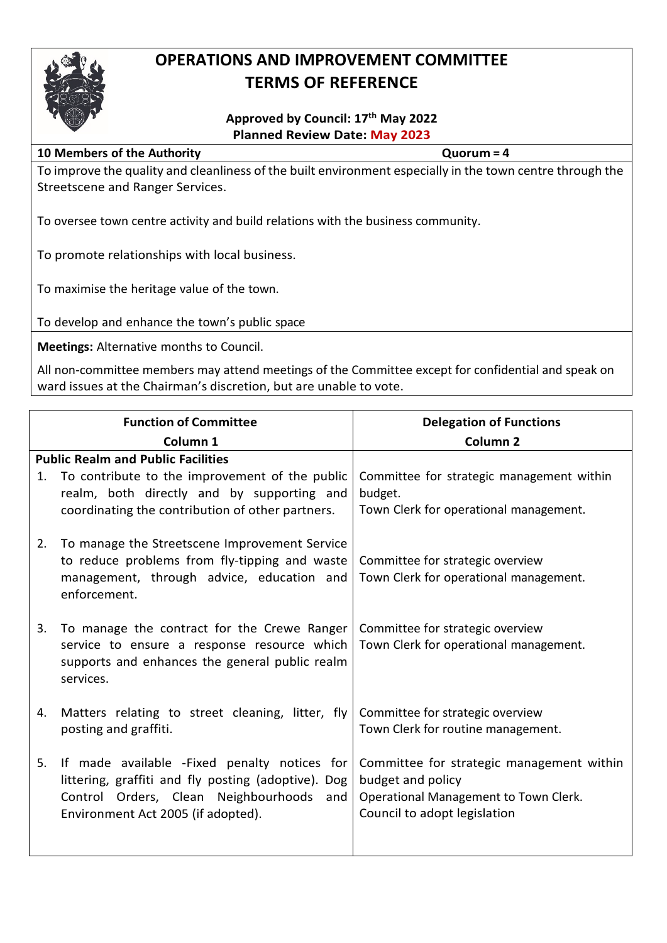

## **OPERATIONS AND IMPROVEMENT COMMITTEE TERMS OF REFERENCE**

### **Approved by Council: 17th May 2022 Planned Review Date: May 2023**

#### **10 Members of the Authority Quorum = 4**

To improve the quality and cleanliness of the built environment especially in the town centre through the Streetscene and Ranger Services.

To oversee town centre activity and build relations with the business community.

To promote relationships with local business.

To maximise the heritage value of the town.

To develop and enhance the town's public space

**Meetings:** Alternative months to Council.

|    | <b>Function of Committee</b>                                                                                                                                                             | <b>Delegation of Functions</b>                                                                                                          |
|----|------------------------------------------------------------------------------------------------------------------------------------------------------------------------------------------|-----------------------------------------------------------------------------------------------------------------------------------------|
|    | Column <sub>1</sub>                                                                                                                                                                      | Column <sub>2</sub>                                                                                                                     |
|    | <b>Public Realm and Public Facilities</b>                                                                                                                                                |                                                                                                                                         |
| 1. | To contribute to the improvement of the public<br>realm, both directly and by supporting and<br>coordinating the contribution of other partners.                                         | Committee for strategic management within<br>budget.<br>Town Clerk for operational management.                                          |
| 2. | To manage the Streetscene Improvement Service<br>to reduce problems from fly-tipping and waste<br>management, through advice, education and<br>enforcement.                              | Committee for strategic overview<br>Town Clerk for operational management.                                                              |
| 3. | To manage the contract for the Crewe Ranger<br>service to ensure a response resource which<br>supports and enhances the general public realm<br>services.                                | Committee for strategic overview<br>Town Clerk for operational management.                                                              |
| 4. | Matters relating to street cleaning, litter, fly<br>posting and graffiti.                                                                                                                | Committee for strategic overview<br>Town Clerk for routine management.                                                                  |
| 5. | If made available -Fixed penalty notices for<br>littering, graffiti and fly posting (adoptive). Dog<br>Control Orders, Clean Neighbourhoods<br>and<br>Environment Act 2005 (if adopted). | Committee for strategic management within<br>budget and policy<br>Operational Management to Town Clerk.<br>Council to adopt legislation |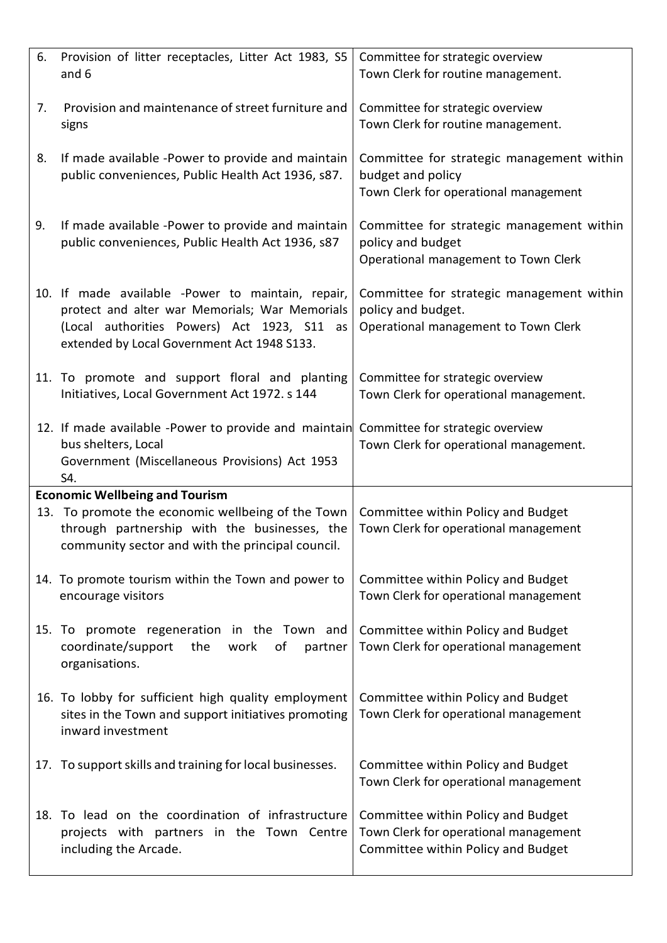| 6. | Provision of litter receptacles, Litter Act 1983, S5<br>and 6                                                                                                                                     | Committee for strategic overview<br>Town Clerk for routine management.                                            |
|----|---------------------------------------------------------------------------------------------------------------------------------------------------------------------------------------------------|-------------------------------------------------------------------------------------------------------------------|
| 7. | Provision and maintenance of street furniture and<br>signs                                                                                                                                        | Committee for strategic overview<br>Town Clerk for routine management.                                            |
| 8. | If made available -Power to provide and maintain<br>public conveniences, Public Health Act 1936, s87.                                                                                             | Committee for strategic management within<br>budget and policy<br>Town Clerk for operational management           |
| 9. | If made available -Power to provide and maintain<br>public conveniences, Public Health Act 1936, s87                                                                                              | Committee for strategic management within<br>policy and budget<br>Operational management to Town Clerk            |
|    | 10. If made available -Power to maintain, repair,<br>protect and alter war Memorials; War Memorials<br>(Local authorities Powers) Act 1923, S11 as<br>extended by Local Government Act 1948 S133. | Committee for strategic management within<br>policy and budget.<br>Operational management to Town Clerk           |
|    | 11. To promote and support floral and planting<br>Initiatives, Local Government Act 1972. s 144                                                                                                   | Committee for strategic overview<br>Town Clerk for operational management.                                        |
|    | 12. If made available -Power to provide and maintain<br>bus shelters, Local<br>Government (Miscellaneous Provisions) Act 1953<br>S4.                                                              | Committee for strategic overview<br>Town Clerk for operational management.                                        |
|    | <b>Economic Wellbeing and Tourism</b>                                                                                                                                                             |                                                                                                                   |
|    | 13. To promote the economic wellbeing of the Town<br>through partnership with the businesses, the<br>community sector and with the principal council.                                             | Committee within Policy and Budget<br>Town Clerk for operational management                                       |
|    | 14. To promote tourism within the Town and power to<br>encourage visitors                                                                                                                         | Committee within Policy and Budget<br>Town Clerk for operational management                                       |
|    | 15. To promote regeneration in the Town and<br>coordinate/support<br>the<br>work<br>of<br>partner<br>organisations.                                                                               | Committee within Policy and Budget<br>Town Clerk for operational management                                       |
|    | 16. To lobby for sufficient high quality employment<br>sites in the Town and support initiatives promoting<br>inward investment                                                                   | Committee within Policy and Budget<br>Town Clerk for operational management                                       |
|    | 17. To support skills and training for local businesses.                                                                                                                                          | Committee within Policy and Budget<br>Town Clerk for operational management                                       |
|    | 18. To lead on the coordination of infrastructure<br>projects with partners in the Town Centre<br>including the Arcade.                                                                           | Committee within Policy and Budget<br>Town Clerk for operational management<br>Committee within Policy and Budget |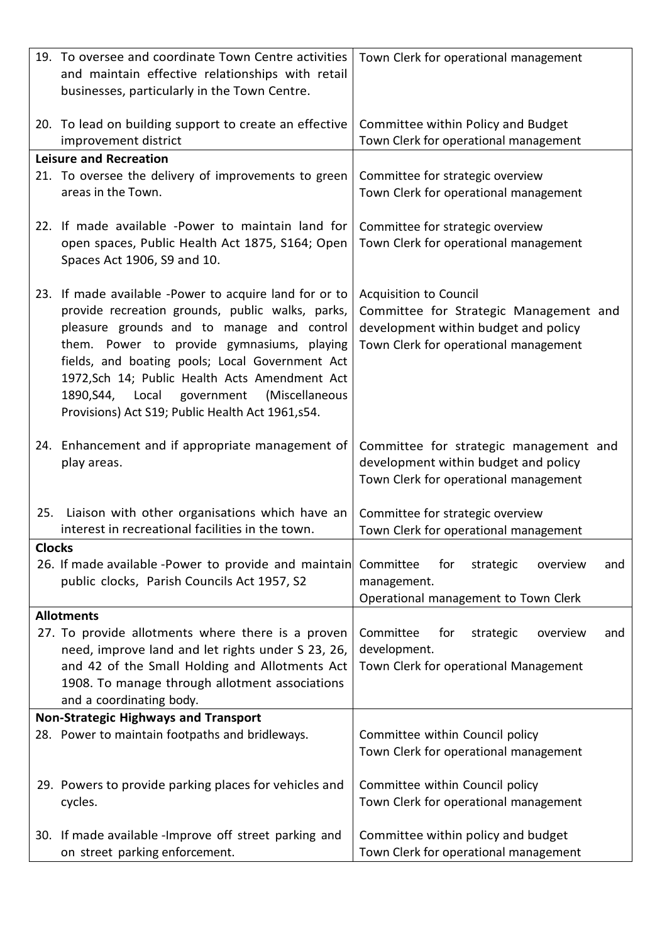|               | 19. To oversee and coordinate Town Centre activities                                          | Town Clerk for operational management                                    |
|---------------|-----------------------------------------------------------------------------------------------|--------------------------------------------------------------------------|
|               | and maintain effective relationships with retail                                              |                                                                          |
|               | businesses, particularly in the Town Centre.                                                  |                                                                          |
|               | 20. To lead on building support to create an effective                                        | Committee within Policy and Budget                                       |
|               | improvement district                                                                          | Town Clerk for operational management                                    |
|               | <b>Leisure and Recreation</b>                                                                 |                                                                          |
|               | 21. To oversee the delivery of improvements to green                                          | Committee for strategic overview                                         |
|               | areas in the Town.                                                                            | Town Clerk for operational management                                    |
|               | 22. If made available -Power to maintain land for                                             | Committee for strategic overview                                         |
|               | open spaces, Public Health Act 1875, S164; Open                                               | Town Clerk for operational management                                    |
|               | Spaces Act 1906, S9 and 10.                                                                   |                                                                          |
|               |                                                                                               |                                                                          |
|               | 23. If made available -Power to acquire land for or to                                        | <b>Acquisition to Council</b>                                            |
|               | provide recreation grounds, public walks, parks,                                              | Committee for Strategic Management and                                   |
|               | pleasure grounds and to manage and control                                                    | development within budget and policy                                     |
|               | them. Power to provide gymnasiums, playing<br>fields, and boating pools; Local Government Act | Town Clerk for operational management                                    |
|               | 1972, Sch 14; Public Health Acts Amendment Act                                                |                                                                          |
|               | 1890, S44, Local government<br>(Miscellaneous                                                 |                                                                          |
|               | Provisions) Act S19; Public Health Act 1961, s54.                                             |                                                                          |
|               |                                                                                               |                                                                          |
|               | 24. Enhancement and if appropriate management of                                              | Committee for strategic management and                                   |
|               | play areas.                                                                                   | development within budget and policy                                     |
|               |                                                                                               | Town Clerk for operational management                                    |
| 25.           | Liaison with other organisations which have an                                                | Committee for strategic overview                                         |
|               | interest in recreational facilities in the town.                                              | Town Clerk for operational management                                    |
| <b>Clocks</b> |                                                                                               |                                                                          |
|               | 26. If made available -Power to provide and maintain                                          | Committee<br>for<br>strategic<br>overview<br>and                         |
|               | public clocks, Parish Councils Act 1957, S2                                                   | management.                                                              |
|               | <b>Allotments</b>                                                                             | Operational management to Town Clerk                                     |
|               | 27. To provide allotments where there is a proven                                             | Committee<br>for<br>strategic<br>overview<br>and                         |
|               | need, improve land and let rights under S 23, 26,                                             | development.                                                             |
|               | and 42 of the Small Holding and Allotments Act                                                | Town Clerk for operational Management                                    |
|               | 1908. To manage through allotment associations                                                |                                                                          |
|               | and a coordinating body.                                                                      |                                                                          |
|               | <b>Non-Strategic Highways and Transport</b>                                                   |                                                                          |
|               | 28. Power to maintain footpaths and bridleways.                                               | Committee within Council policy<br>Town Clerk for operational management |
|               |                                                                                               |                                                                          |
|               | 29. Powers to provide parking places for vehicles and                                         | Committee within Council policy                                          |
|               | cycles.                                                                                       | Town Clerk for operational management                                    |
|               |                                                                                               |                                                                          |
|               | 30. If made available -Improve off street parking and                                         | Committee within policy and budget                                       |
|               | on street parking enforcement.                                                                | Town Clerk for operational management                                    |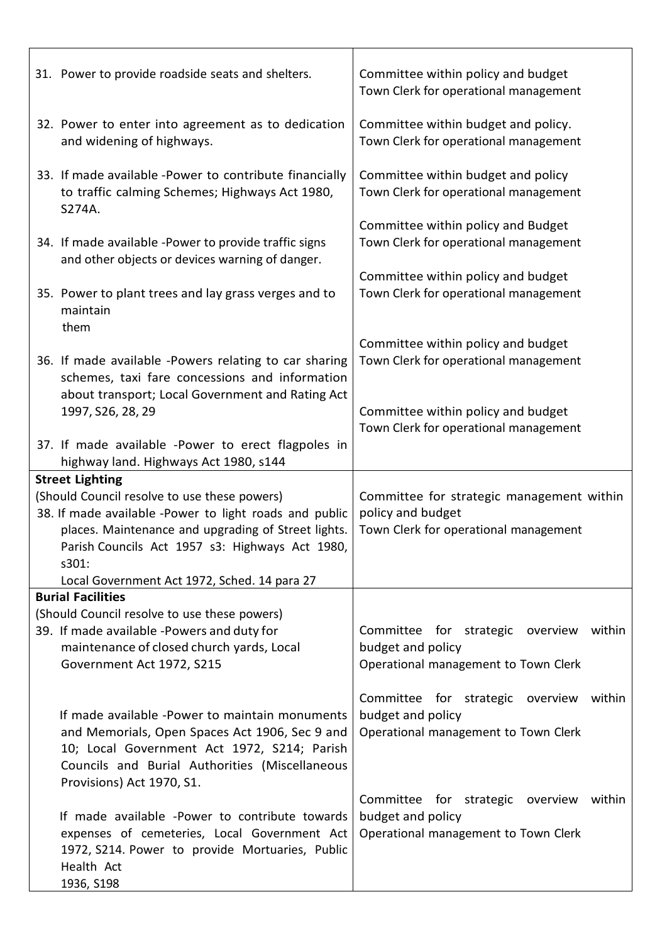| 31. Power to provide roadside seats and shelters.                                                                                                                                                                                          | Committee within policy and budget<br>Town Clerk for operational management                             |
|--------------------------------------------------------------------------------------------------------------------------------------------------------------------------------------------------------------------------------------------|---------------------------------------------------------------------------------------------------------|
| 32. Power to enter into agreement as to dedication<br>and widening of highways.                                                                                                                                                            | Committee within budget and policy.<br>Town Clerk for operational management                            |
| 33. If made available -Power to contribute financially<br>to traffic calming Schemes; Highways Act 1980,<br>S274A.                                                                                                                         | Committee within budget and policy<br>Town Clerk for operational management                             |
| 34. If made available -Power to provide traffic signs<br>and other objects or devices warning of danger.                                                                                                                                   | Committee within policy and Budget<br>Town Clerk for operational management                             |
| 35. Power to plant trees and lay grass verges and to<br>maintain                                                                                                                                                                           | Committee within policy and budget<br>Town Clerk for operational management                             |
| them<br>36. If made available -Powers relating to car sharing<br>schemes, taxi fare concessions and information                                                                                                                            | Committee within policy and budget<br>Town Clerk for operational management                             |
| about transport; Local Government and Rating Act<br>1997, S26, 28, 29<br>37. If made available -Power to erect flagpoles in                                                                                                                | Committee within policy and budget<br>Town Clerk for operational management                             |
| highway land. Highways Act 1980, s144                                                                                                                                                                                                      |                                                                                                         |
| <b>Street Lighting</b><br>(Should Council resolve to use these powers)<br>38. If made available -Power to light roads and public<br>places. Maintenance and upgrading of Street lights.<br>Parish Councils Act 1957 s3: Highways Act 1980, | Committee for strategic management within<br>policy and budget<br>Town Clerk for operational management |
|                                                                                                                                                                                                                                            |                                                                                                         |
| s301:                                                                                                                                                                                                                                      |                                                                                                         |
| Local Government Act 1972, Sched. 14 para 27                                                                                                                                                                                               |                                                                                                         |
| <b>Burial Facilities</b><br>(Should Council resolve to use these powers)<br>39. If made available -Powers and duty for<br>maintenance of closed church yards, Local<br>Government Act 1972, S215                                           | Committee for strategic overview<br>within<br>budget and policy<br>Operational management to Town Clerk |
| If made available -Power to maintain monuments<br>and Memorials, Open Spaces Act 1906, Sec 9 and<br>10; Local Government Act 1972, S214; Parish<br>Councils and Burial Authorities (Miscellaneous<br>Provisions) Act 1970, S1.             | Committee for strategic overview<br>within<br>budget and policy<br>Operational management to Town Clerk |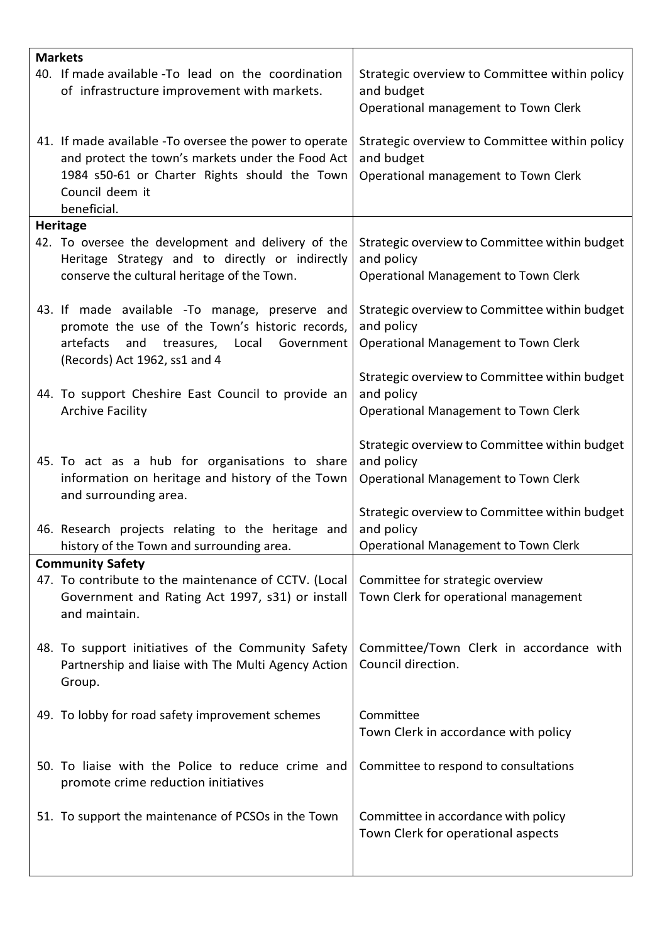| <b>Markets</b>                                                                                                                                                                                  |                                                                                                            |
|-------------------------------------------------------------------------------------------------------------------------------------------------------------------------------------------------|------------------------------------------------------------------------------------------------------------|
| 40. If made available -To lead on the coordination<br>of infrastructure improvement with markets.                                                                                               | Strategic overview to Committee within policy<br>and budget                                                |
|                                                                                                                                                                                                 | Operational management to Town Clerk                                                                       |
| 41. If made available - To oversee the power to operate<br>and protect the town's markets under the Food Act<br>1984 s50-61 or Charter Rights should the Town<br>Council deem it<br>beneficial. | Strategic overview to Committee within policy<br>and budget<br>Operational management to Town Clerk        |
| <b>Heritage</b>                                                                                                                                                                                 |                                                                                                            |
| 42. To oversee the development and delivery of the<br>Heritage Strategy and to directly or indirectly<br>conserve the cultural heritage of the Town.                                            | Strategic overview to Committee within budget<br>and policy<br>Operational Management to Town Clerk        |
| 43. If made available -To manage, preserve and<br>promote the use of the Town's historic records,<br>artefacts<br>and<br>treasures, Local<br>Government<br>(Records) Act 1962, ss1 and 4        | Strategic overview to Committee within budget<br>and policy<br>Operational Management to Town Clerk        |
| 44. To support Cheshire East Council to provide an<br><b>Archive Facility</b>                                                                                                                   | Strategic overview to Committee within budget<br>and policy<br>Operational Management to Town Clerk        |
| 45. To act as a hub for organisations to share<br>information on heritage and history of the Town<br>and surrounding area.                                                                      | Strategic overview to Committee within budget<br>and policy<br>Operational Management to Town Clerk        |
| 46. Research projects relating to the heritage and<br>history of the Town and surrounding area.                                                                                                 | Strategic overview to Committee within budget<br>and policy<br><b>Operational Management to Town Clerk</b> |
| <b>Community Safety</b>                                                                                                                                                                         |                                                                                                            |
| 47. To contribute to the maintenance of CCTV. (Local<br>Government and Rating Act 1997, s31) or install<br>and maintain.                                                                        | Committee for strategic overview<br>Town Clerk for operational management                                  |
| 48. To support initiatives of the Community Safety<br>Partnership and liaise with The Multi Agency Action<br>Group.                                                                             | Committee/Town Clerk in accordance with<br>Council direction.                                              |
| 49. To lobby for road safety improvement schemes                                                                                                                                                | Committee<br>Town Clerk in accordance with policy                                                          |
| 50. To liaise with the Police to reduce crime and<br>promote crime reduction initiatives                                                                                                        | Committee to respond to consultations                                                                      |
| 51. To support the maintenance of PCSOs in the Town                                                                                                                                             | Committee in accordance with policy<br>Town Clerk for operational aspects                                  |
|                                                                                                                                                                                                 |                                                                                                            |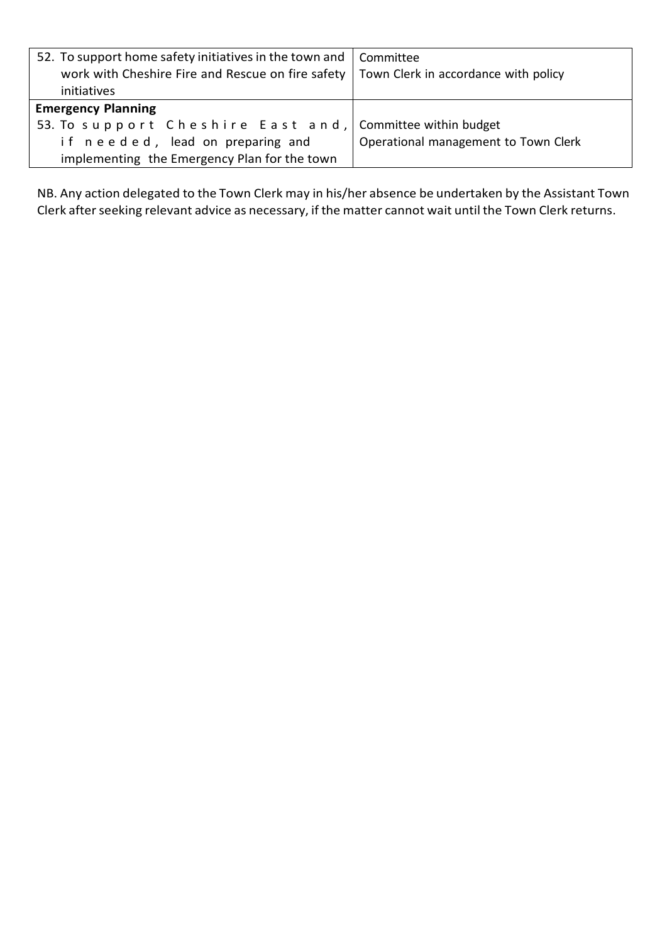| 52. To support home safety initiatives in the town and<br>work with Cheshire Fire and Rescue on fire safety<br>initiatives | Committee<br>Town Clerk in accordance with policy |
|----------------------------------------------------------------------------------------------------------------------------|---------------------------------------------------|
| <b>Emergency Planning</b><br>53. To support Cheshire East and,                                                             | Committee within budget                           |
| if needed, lead on preparing and<br>implementing the Emergency Plan for the town                                           | Operational management to Town Clerk              |

NB. Any action delegated to the Town Clerk may in his/her absence be undertaken by the Assistant Town Clerk after seeking relevant advice as necessary, if the matter cannot wait until the Town Clerk returns.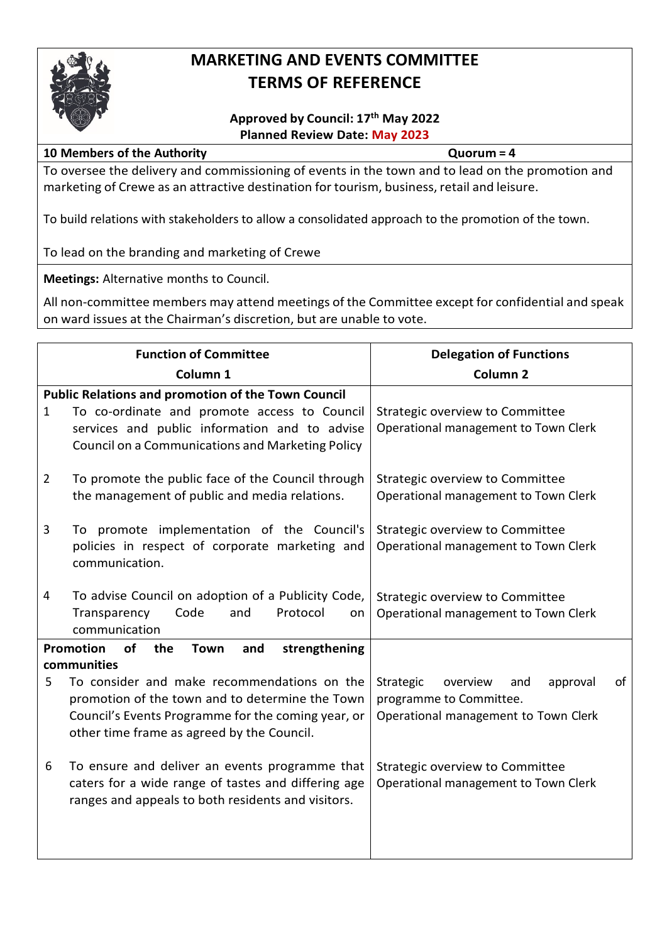

## **MARKETING AND EVENTS COMMITTEE TERMS OF REFERENCE**

#### **Approved by Council: 17th May 2022 Planned Review Date: May 2023**

#### **10 Members of the Authority Quorum = 4**

To oversee the delivery and commissioning of events in the town and to lead on the promotion and marketing of Crewe as an attractive destination for tourism, business, retail and leisure.

To build relations with stakeholders to allow a consolidated approach to the promotion of the town.

To lead on the branding and marketing of Crewe

**Meetings:** Alternative months to Council.

| <b>Function of Committee</b> |                                                                                                                                                                                                                | <b>Delegation of Functions</b>                                                                                    |
|------------------------------|----------------------------------------------------------------------------------------------------------------------------------------------------------------------------------------------------------------|-------------------------------------------------------------------------------------------------------------------|
|                              | Column <sub>1</sub>                                                                                                                                                                                            | Column <sub>2</sub>                                                                                               |
| $\mathbf{1}$                 | <b>Public Relations and promotion of the Town Council</b><br>To co-ordinate and promote access to Council<br>services and public information and to advise<br>Council on a Communications and Marketing Policy | Strategic overview to Committee<br>Operational management to Town Clerk                                           |
| $\overline{2}$               | To promote the public face of the Council through<br>the management of public and media relations.                                                                                                             | Strategic overview to Committee<br>Operational management to Town Clerk                                           |
| 3                            | To promote implementation of the Council's<br>policies in respect of corporate marketing and<br>communication.                                                                                                 | Strategic overview to Committee<br>Operational management to Town Clerk                                           |
| 4                            | To advise Council on adoption of a Publicity Code,<br>Code<br>Protocol<br>Transparency<br>and<br>on<br>communication                                                                                           | Strategic overview to Committee<br>Operational management to Town Clerk                                           |
|                              | Promotion<br>of<br><b>Town</b><br>strengthening<br>the<br>and<br>communities                                                                                                                                   |                                                                                                                   |
| 5                            | To consider and make recommendations on the<br>promotion of the town and to determine the Town<br>Council's Events Programme for the coming year, or<br>other time frame as agreed by the Council.             | Strategic<br>of<br>overview<br>approval<br>and<br>programme to Committee.<br>Operational management to Town Clerk |
| 6                            | To ensure and deliver an events programme that<br>caters for a wide range of tastes and differing age<br>ranges and appeals to both residents and visitors.                                                    | Strategic overview to Committee<br>Operational management to Town Clerk                                           |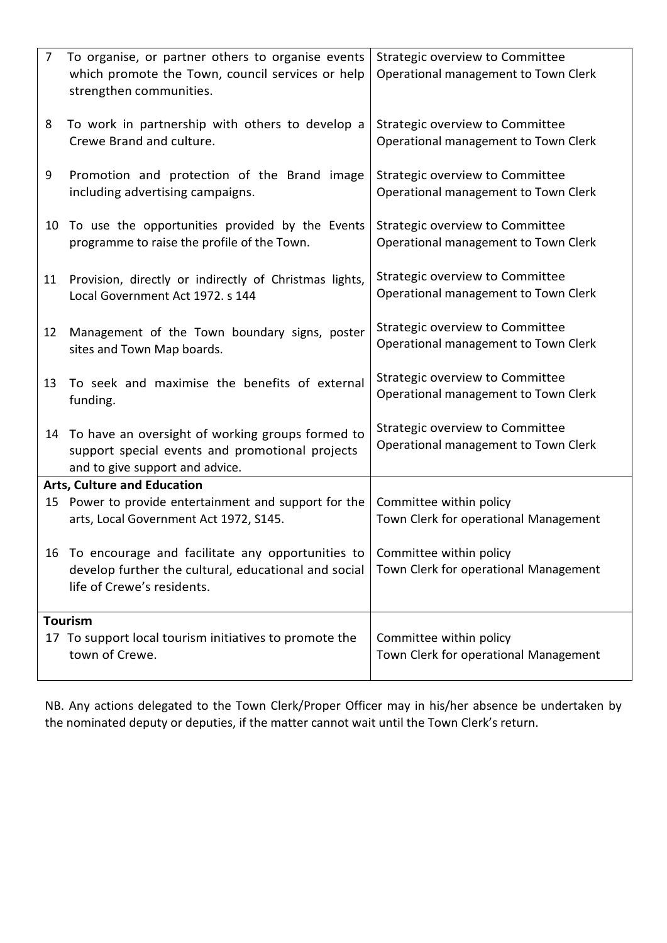| $\overline{7}$ | To organise, or partner others to organise events<br>which promote the Town, council services or help<br>strengthen communities.          | Strategic overview to Committee<br>Operational management to Town Clerk |
|----------------|-------------------------------------------------------------------------------------------------------------------------------------------|-------------------------------------------------------------------------|
| 8              | To work in partnership with others to develop a<br>Crewe Brand and culture.                                                               | Strategic overview to Committee<br>Operational management to Town Clerk |
| 9              | Promotion and protection of the Brand image<br>including advertising campaigns.                                                           | Strategic overview to Committee<br>Operational management to Town Clerk |
| 10             | To use the opportunities provided by the Events<br>programme to raise the profile of the Town.                                            | Strategic overview to Committee<br>Operational management to Town Clerk |
| 11             | Provision, directly or indirectly of Christmas lights,<br>Local Government Act 1972. s 144                                                | Strategic overview to Committee<br>Operational management to Town Clerk |
| 12             | Management of the Town boundary signs, poster<br>sites and Town Map boards.                                                               | Strategic overview to Committee<br>Operational management to Town Clerk |
| 13             | To seek and maximise the benefits of external<br>funding.                                                                                 | Strategic overview to Committee<br>Operational management to Town Clerk |
| 14             | To have an oversight of working groups formed to<br>support special events and promotional projects<br>and to give support and advice.    | Strategic overview to Committee<br>Operational management to Town Clerk |
|                | <b>Arts, Culture and Education</b>                                                                                                        |                                                                         |
| 15             | Power to provide entertainment and support for the<br>arts, Local Government Act 1972, S145.                                              | Committee within policy<br>Town Clerk for operational Management        |
|                | 16 To encourage and facilitate any opportunities to<br>develop further the cultural, educational and social<br>life of Crewe's residents. | Committee within policy<br>Town Clerk for operational Management        |
| <b>Tourism</b> |                                                                                                                                           |                                                                         |
|                | 17 To support local tourism initiatives to promote the<br>town of Crewe.                                                                  | Committee within policy<br>Town Clerk for operational Management        |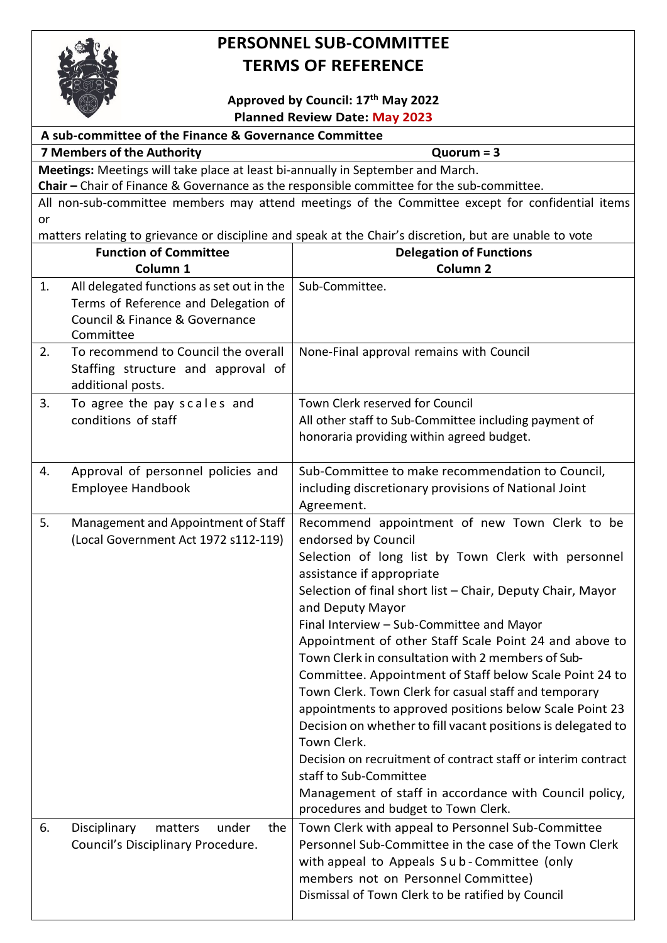

# **PERSONNEL SUB-COMMITTEE TERMS OF REFERENCE**

### **Approved by Council: 17th May 2022 Planned Review Date: May 2023**

| <b>Hanned Review Date: May 2023</b>                   |                                                                                 |                                                                                                         |
|-------------------------------------------------------|---------------------------------------------------------------------------------|---------------------------------------------------------------------------------------------------------|
| A sub-committee of the Finance & Governance Committee |                                                                                 |                                                                                                         |
| <b>7 Members of the Authority</b><br>$Quorum = 3$     |                                                                                 |                                                                                                         |
|                                                       | Meetings: Meetings will take place at least bi-annually in September and March. |                                                                                                         |
|                                                       |                                                                                 | Chair - Chair of Finance & Governance as the responsible committee for the sub-committee.               |
| or                                                    |                                                                                 | All non-sub-committee members may attend meetings of the Committee except for confidential items        |
|                                                       |                                                                                 | matters relating to grievance or discipline and speak at the Chair's discretion, but are unable to vote |
|                                                       | <b>Function of Committee</b>                                                    | <b>Delegation of Functions</b>                                                                          |
|                                                       | Column 1                                                                        | Column <sub>2</sub>                                                                                     |
| 1.                                                    | All delegated functions as set out in the                                       | Sub-Committee.                                                                                          |
|                                                       | Terms of Reference and Delegation of                                            |                                                                                                         |
|                                                       | Council & Finance & Governance                                                  |                                                                                                         |
|                                                       | Committee                                                                       |                                                                                                         |
| 2.                                                    | To recommend to Council the overall                                             | None-Final approval remains with Council                                                                |
|                                                       | Staffing structure and approval of                                              |                                                                                                         |
|                                                       | additional posts.                                                               |                                                                                                         |
| 3.                                                    | To agree the pay scales and                                                     | Town Clerk reserved for Council                                                                         |
|                                                       | conditions of staff                                                             | All other staff to Sub-Committee including payment of                                                   |
|                                                       |                                                                                 | honoraria providing within agreed budget.                                                               |
|                                                       |                                                                                 |                                                                                                         |
| 4.                                                    | Approval of personnel policies and                                              | Sub-Committee to make recommendation to Council,                                                        |
|                                                       | <b>Employee Handbook</b>                                                        | including discretionary provisions of National Joint                                                    |
|                                                       |                                                                                 | Agreement.                                                                                              |
| 5.                                                    | Management and Appointment of Staff                                             | Recommend appointment of new Town Clerk to be                                                           |
|                                                       | (Local Government Act 1972 s112-119)                                            | endorsed by Council                                                                                     |
|                                                       |                                                                                 | Selection of long list by Town Clerk with personnel                                                     |
|                                                       |                                                                                 | assistance if appropriate                                                                               |
|                                                       |                                                                                 | Selection of final short list - Chair, Deputy Chair, Mayor                                              |
|                                                       |                                                                                 | and Deputy Mayor                                                                                        |
|                                                       |                                                                                 | Final Interview - Sub-Committee and Mayor                                                               |
|                                                       |                                                                                 | Appointment of other Staff Scale Point 24 and above to                                                  |
|                                                       |                                                                                 | Town Clerk in consultation with 2 members of Sub-                                                       |
|                                                       |                                                                                 | Committee. Appointment of Staff below Scale Point 24 to                                                 |
|                                                       |                                                                                 | Town Clerk. Town Clerk for casual staff and temporary                                                   |
|                                                       |                                                                                 | appointments to approved positions below Scale Point 23                                                 |
|                                                       |                                                                                 | Decision on whether to fill vacant positions is delegated to                                            |
|                                                       |                                                                                 | Town Clerk.                                                                                             |
|                                                       |                                                                                 | Decision on recruitment of contract staff or interim contract                                           |
|                                                       |                                                                                 | staff to Sub-Committee                                                                                  |
|                                                       |                                                                                 | Management of staff in accordance with Council policy,                                                  |
|                                                       |                                                                                 | procedures and budget to Town Clerk.                                                                    |
| 6.                                                    | Disciplinary<br>matters<br>under<br>the                                         | Town Clerk with appeal to Personnel Sub-Committee                                                       |
|                                                       | Council's Disciplinary Procedure.                                               | Personnel Sub-Committee in the case of the Town Clerk                                                   |
|                                                       |                                                                                 | with appeal to Appeals Sub-Committee (only                                                              |
|                                                       |                                                                                 | members not on Personnel Committee)                                                                     |
|                                                       |                                                                                 | Dismissal of Town Clerk to be ratified by Council                                                       |
|                                                       |                                                                                 |                                                                                                         |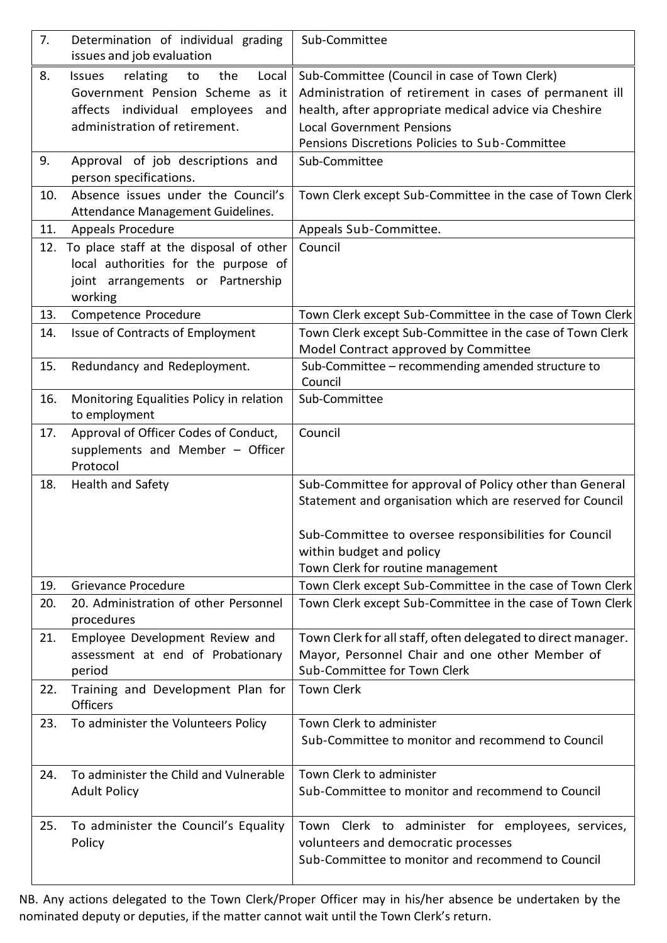| 7.  | Determination of individual grading                                     | Sub-Committee                                                |
|-----|-------------------------------------------------------------------------|--------------------------------------------------------------|
|     | issues and job evaluation                                               |                                                              |
| 8.  | relating<br>the<br>Local<br><b>Issues</b><br>to                         | Sub-Committee (Council in case of Town Clerk)                |
|     | Government Pension Scheme as it                                         | Administration of retirement in cases of permanent ill       |
|     | affects individual employees<br>and                                     | health, after appropriate medical advice via Cheshire        |
|     | administration of retirement.                                           | <b>Local Government Pensions</b>                             |
|     |                                                                         | Pensions Discretions Policies to Sub-Committee               |
| 9.  | Approval of job descriptions and                                        | Sub-Committee                                                |
|     | person specifications.                                                  |                                                              |
| 10. | Absence issues under the Council's<br>Attendance Management Guidelines. | Town Clerk except Sub-Committee in the case of Town Clerk    |
| 11. | Appeals Procedure                                                       | Appeals Sub-Committee.                                       |
|     | 12. To place staff at the disposal of other                             | Council                                                      |
|     | local authorities for the purpose of                                    |                                                              |
|     | joint arrangements or Partnership                                       |                                                              |
|     | working                                                                 |                                                              |
| 13. | Competence Procedure                                                    | Town Clerk except Sub-Committee in the case of Town Clerk    |
| 14. | Issue of Contracts of Employment                                        | Town Clerk except Sub-Committee in the case of Town Clerk    |
|     |                                                                         | Model Contract approved by Committee                         |
| 15. | Redundancy and Redeployment.                                            | Sub-Committee – recommending amended structure to<br>Council |
| 16. | Monitoring Equalities Policy in relation<br>to employment               | Sub-Committee                                                |
| 17. | Approval of Officer Codes of Conduct,                                   | Council                                                      |
|     | supplements and Member - Officer                                        |                                                              |
|     | Protocol                                                                |                                                              |
| 18. | Health and Safety                                                       | Sub-Committee for approval of Policy other than General      |
|     |                                                                         | Statement and organisation which are reserved for Council    |
|     |                                                                         |                                                              |
|     |                                                                         | Sub-Committee to oversee responsibilities for Council        |
|     |                                                                         | within budget and policy                                     |
|     |                                                                         | Town Clerk for routine management                            |
| 19. | Grievance Procedure                                                     | Town Clerk except Sub-Committee in the case of Town Clerk    |
| 20. | 20. Administration of other Personnel                                   | Town Clerk except Sub-Committee in the case of Town Clerk    |
|     | procedures                                                              |                                                              |
| 21. | Employee Development Review and                                         | Town Clerk for all staff, often delegated to direct manager. |
|     | assessment at end of Probationary                                       | Mayor, Personnel Chair and one other Member of               |
|     | period                                                                  | Sub-Committee for Town Clerk                                 |
| 22. | Training and Development Plan for                                       | <b>Town Clerk</b>                                            |
|     | <b>Officers</b>                                                         |                                                              |
| 23. | To administer the Volunteers Policy                                     | Town Clerk to administer                                     |
|     |                                                                         | Sub-Committee to monitor and recommend to Council            |
|     |                                                                         |                                                              |
| 24. | To administer the Child and Vulnerable                                  | Town Clerk to administer                                     |
|     | <b>Adult Policy</b>                                                     | Sub-Committee to monitor and recommend to Council            |
|     |                                                                         |                                                              |
| 25. | To administer the Council's Equality                                    | Town Clerk to administer for employees, services,            |
|     | Policy                                                                  | volunteers and democratic processes                          |
|     |                                                                         | Sub-Committee to monitor and recommend to Council            |
|     |                                                                         |                                                              |